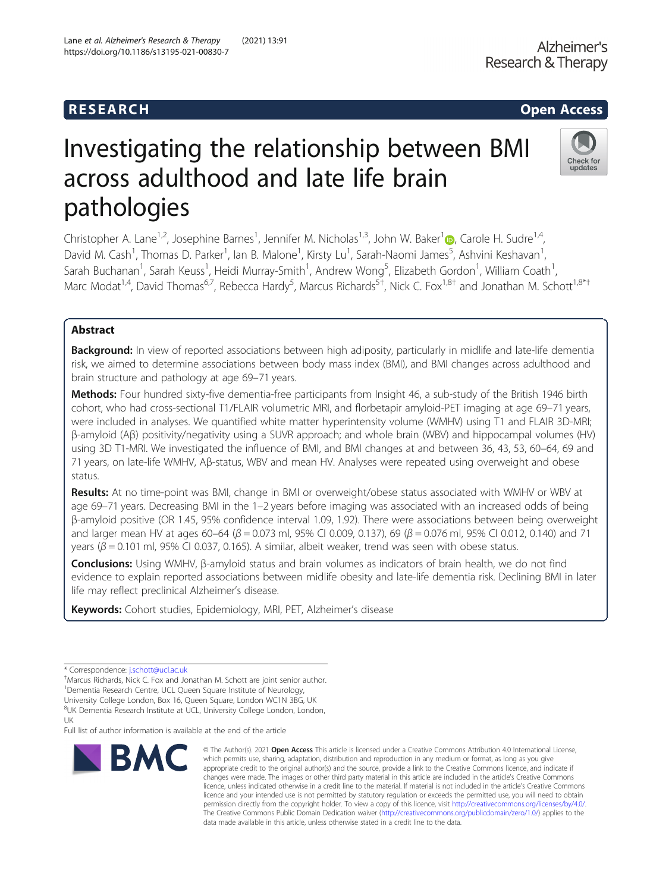# R E S EAR CH Open Access

# Investigating the relationship between BMI across adulthood and late life brain pathologies

Christopher A. Lane<sup>[1](http://orcid.org/0000-0002-8543-5518),2</sup>, Josephine Barnes<sup>1</sup>, Jennifer M. Nicholas<sup>1,3</sup>, John W. Baker<sup>1</sup>@, Carole H. Sudre<sup>1,4</sup>, David M. Cash<sup>1</sup>, Thomas D. Parker<sup>1</sup>, Ian B. Malone<sup>1</sup>, Kirsty Lu<sup>1</sup>, Sarah-Naomi James<sup>5</sup>, Ashvini Keshavan<sup>1</sup> , Sarah Buchanan<sup>1</sup>, Sarah Keuss<sup>1</sup>, Heidi Murray-Smith<sup>1</sup>, Andrew Wong<sup>5</sup>, Elizabeth Gordon<sup>1</sup>, William Coath<sup>1</sup> , Marc Modat<sup>1,4</sup>, David Thomas<sup>6,7</sup>, Rebecca Hardy<sup>5</sup>, Marcus Richards<sup>5†</sup>, Nick C. Fox<sup>1,8†</sup> and Jonathan M. Schott<sup>1,8\*†</sup>

# Abstract

Background: In view of reported associations between high adiposity, particularly in midlife and late-life dementia risk, we aimed to determine associations between body mass index (BMI), and BMI changes across adulthood and brain structure and pathology at age 69–71 years.

Methods: Four hundred sixty-five dementia-free participants from Insight 46, a sub-study of the British 1946 birth cohort, who had cross-sectional T1/FLAIR volumetric MRI, and florbetapir amyloid-PET imaging at age 69–71 years, were included in analyses. We quantified white matter hyperintensity volume (WMHV) using T1 and FLAIR 3D-MRI; β-amyloid (Aβ) positivity/negativity using a SUVR approach; and whole brain (WBV) and hippocampal volumes (HV) using 3D T1-MRI. We investigated the influence of BMI, and BMI changes at and between 36, 43, 53, 60–64, 69 and 71 years, on late-life WMHV, Aβ-status, WBV and mean HV. Analyses were repeated using overweight and obese status.

Results: At no time-point was BMI, change in BMI or overweight/obese status associated with WMHV or WBV at age 69–71 years. Decreasing BMI in the 1–2 years before imaging was associated with an increased odds of being β-amyloid positive (OR 1.45, 95% confidence interval 1.09, 1.92). There were associations between being overweight and larger mean HV at ages 60–64 ( $\beta$  = 0.073 ml, 95% CI 0.009, 0.137), 69 ( $\beta$  = 0.076 ml, 95% CI 0.012, 0.140) and 71 years ( $β = 0.101$  ml, 95% CI 0.037, 0.165). A similar, albeit weaker, trend was seen with obese status.

Conclusions: Using WMHV, β-amyloid status and brain volumes as indicators of brain health, we do not find evidence to explain reported associations between midlife obesity and late-life dementia risk. Declining BMI in later life may reflect preclinical Alzheimer's disease.

Keywords: Cohort studies, Epidemiology, MRI, PET, Alzheimer's disease

Marcus Richards, Nick C. Fox and Jonathan M. Schott are joint senior author.

<sup>1</sup> Dementia Research Centre, UCL Queen Square Institute of Neurology,

<sup>8</sup>UK Dementia Research Institute at UCL, University College London, London, UK

Full list of author information is available at the end of the article

**BMC** 

© The Author(s), 2021 **Open Access** This article is licensed under a Creative Commons Attribution 4.0 International License,





<sup>\*</sup> Correspondence: [j.schott@ucl.ac.uk](mailto:j.schott@ucl.ac.uk) †

University College London, Box 16, Queen Square, London WC1N 3BG, UK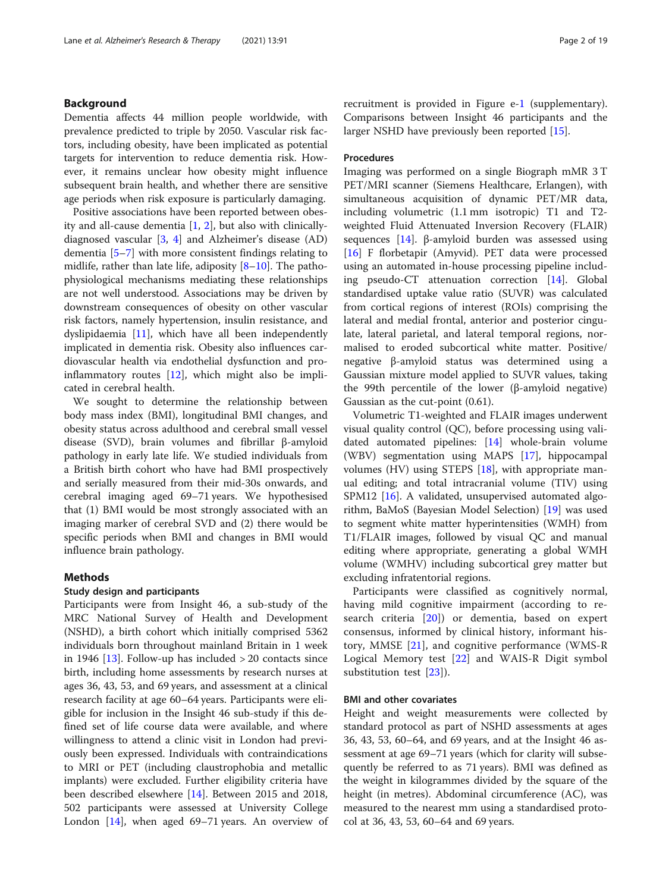### Background

Dementia affects 44 million people worldwide, with prevalence predicted to triple by 2050. Vascular risk factors, including obesity, have been implicated as potential targets for intervention to reduce dementia risk. However, it remains unclear how obesity might influence subsequent brain health, and whether there are sensitive age periods when risk exposure is particularly damaging.

Positive associations have been reported between obesity and all-cause dementia [[1,](#page-16-0) [2\]](#page-16-0), but also with clinicallydiagnosed vascular  $[3, 4]$  $[3, 4]$  $[3, 4]$  $[3, 4]$  and Alzheimer's disease  $(AD)$ dementia [[5](#page-17-0)–[7](#page-17-0)] with more consistent findings relating to midlife, rather than late life, adiposity [[8](#page-17-0)–[10](#page-17-0)]. The pathophysiological mechanisms mediating these relationships are not well understood. Associations may be driven by downstream consequences of obesity on other vascular risk factors, namely hypertension, insulin resistance, and dyslipidaemia [\[11](#page-17-0)], which have all been independently implicated in dementia risk. Obesity also influences cardiovascular health via endothelial dysfunction and proinflammatory routes [[12\]](#page-17-0), which might also be implicated in cerebral health.

We sought to determine the relationship between body mass index (BMI), longitudinal BMI changes, and obesity status across adulthood and cerebral small vessel disease (SVD), brain volumes and fibrillar β-amyloid pathology in early late life. We studied individuals from a British birth cohort who have had BMI prospectively and serially measured from their mid-30s onwards, and cerebral imaging aged 69–71 years. We hypothesised that (1) BMI would be most strongly associated with an imaging marker of cerebral SVD and (2) there would be specific periods when BMI and changes in BMI would influence brain pathology.

## Methods

#### Study design and participants

Participants were from Insight 46, a sub-study of the MRC National Survey of Health and Development (NSHD), a birth cohort which initially comprised 5362 individuals born throughout mainland Britain in 1 week in 1946  $[13]$ . Follow-up has included  $> 20$  contacts since birth, including home assessments by research nurses at ages 36, 43, 53, and 69 years, and assessment at a clinical research facility at age 60–64 years. Participants were eligible for inclusion in the Insight 46 sub-study if this defined set of life course data were available, and where willingness to attend a clinic visit in London had previously been expressed. Individuals with contraindications to MRI or PET (including claustrophobia and metallic implants) were excluded. Further eligibility criteria have been described elsewhere [\[14](#page-17-0)]. Between 2015 and 2018, 502 participants were assessed at University College London [[14\]](#page-17-0), when aged 69–71 years. An overview of recruitment is provided in Figure e[-1](#page-14-0) (supplementary). Comparisons between Insight 46 participants and the larger NSHD have previously been reported [[15](#page-17-0)].

# Procedures

Imaging was performed on a single Biograph mMR 3 T PET/MRI scanner (Siemens Healthcare, Erlangen), with simultaneous acquisition of dynamic PET/MR data, including volumetric (1.1 mm isotropic) T1 and T2 weighted Fluid Attenuated Inversion Recovery (FLAIR) sequences [[14](#page-17-0)]. β-amyloid burden was assessed using [[16\]](#page-17-0) F florbetapir (Amyvid). PET data were processed using an automated in-house processing pipeline including pseudo-CT attenuation correction [\[14\]](#page-17-0). Global standardised uptake value ratio (SUVR) was calculated from cortical regions of interest (ROIs) comprising the lateral and medial frontal, anterior and posterior cingulate, lateral parietal, and lateral temporal regions, normalised to eroded subcortical white matter. Positive/ negative β-amyloid status was determined using a Gaussian mixture model applied to SUVR values, taking the 99th percentile of the lower (β-amyloid negative) Gaussian as the cut-point (0.61).

Volumetric T1-weighted and FLAIR images underwent visual quality control (QC), before processing using validated automated pipelines: [[14](#page-17-0)] whole-brain volume (WBV) segmentation using MAPS [[17](#page-17-0)], hippocampal volumes (HV) using STEPS [\[18\]](#page-17-0), with appropriate manual editing; and total intracranial volume (TIV) using SPM12 [\[16](#page-17-0)]. A validated, unsupervised automated algorithm, BaMoS (Bayesian Model Selection) [[19\]](#page-17-0) was used to segment white matter hyperintensities (WMH) from T1/FLAIR images, followed by visual QC and manual editing where appropriate, generating a global WMH volume (WMHV) including subcortical grey matter but excluding infratentorial regions.

Participants were classified as cognitively normal, having mild cognitive impairment (according to research criteria [[20\]](#page-17-0)) or dementia, based on expert consensus, informed by clinical history, informant history, MMSE [[21](#page-17-0)], and cognitive performance (WMS-R Logical Memory test [[22\]](#page-17-0) and WAIS-R Digit symbol substitution test [\[23](#page-17-0)]).

#### BMI and other covariates

Height and weight measurements were collected by standard protocol as part of NSHD assessments at ages 36, 43, 53, 60–64, and 69 years, and at the Insight 46 assessment at age 69–71 years (which for clarity will subsequently be referred to as 71 years). BMI was defined as the weight in kilogrammes divided by the square of the height (in metres). Abdominal circumference (AC), was measured to the nearest mm using a standardised protocol at 36, 43, 53, 60–64 and 69 years.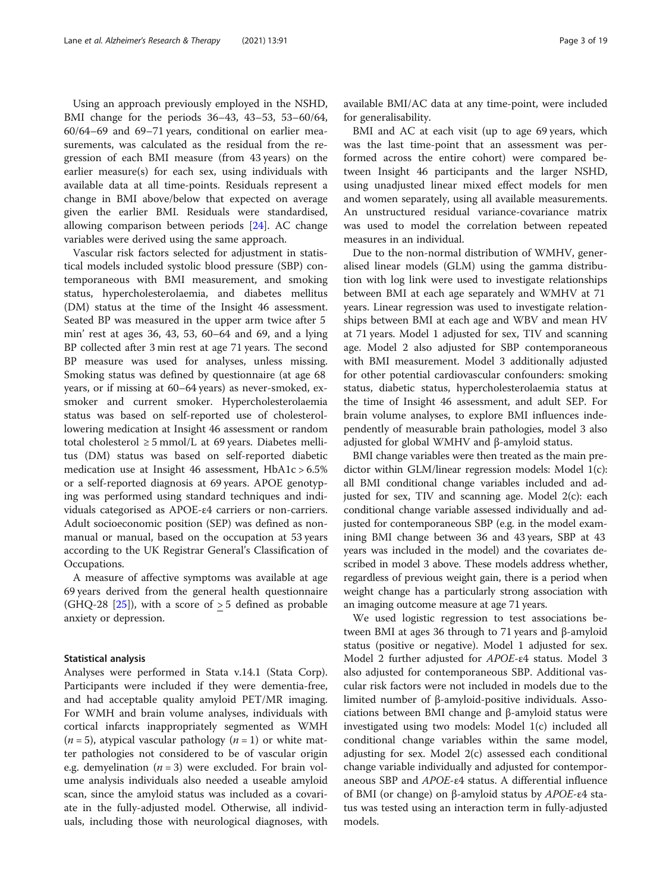Using an approach previously employed in the NSHD, BMI change for the periods 36–43, 43–53, 53–60/64, 60/64–69 and 69–71 years, conditional on earlier measurements, was calculated as the residual from the regression of each BMI measure (from 43 years) on the earlier measure(s) for each sex, using individuals with available data at all time-points. Residuals represent a change in BMI above/below that expected on average given the earlier BMI. Residuals were standardised, allowing comparison between periods [[24\]](#page-17-0). AC change variables were derived using the same approach.

Vascular risk factors selected for adjustment in statistical models included systolic blood pressure (SBP) contemporaneous with BMI measurement, and smoking status, hypercholesterolaemia, and diabetes mellitus (DM) status at the time of the Insight 46 assessment. Seated BP was measured in the upper arm twice after 5 min' rest at ages 36, 43, 53, 60–64 and 69, and a lying BP collected after 3 min rest at age 71 years. The second BP measure was used for analyses, unless missing. Smoking status was defined by questionnaire (at age 68 years, or if missing at 60–64 years) as never-smoked, exsmoker and current smoker. Hypercholesterolaemia status was based on self-reported use of cholesterollowering medication at Insight 46 assessment or random total cholesterol  $\geq$  5 mmol/L at 69 years. Diabetes mellitus (DM) status was based on self-reported diabetic medication use at Insight 46 assessment, HbA1c > 6.5% or a self-reported diagnosis at 69 years. APOE genotyping was performed using standard techniques and individuals categorised as APOE-ε4 carriers or non-carriers. Adult socioeconomic position (SEP) was defined as nonmanual or manual, based on the occupation at 53 years according to the UK Registrar General's Classification of Occupations.

A measure of affective symptoms was available at age 69 years derived from the general health questionnaire (GHQ-28  $[25]$  $[25]$ ), with a score of  $> 5$  defined as probable anxiety or depression.

#### Statistical analysis

Analyses were performed in Stata v.14.1 (Stata Corp). Participants were included if they were dementia-free, and had acceptable quality amyloid PET/MR imaging. For WMH and brain volume analyses, individuals with cortical infarcts inappropriately segmented as WMH  $(n = 5)$ , atypical vascular pathology  $(n = 1)$  or white matter pathologies not considered to be of vascular origin e.g. demyelination ( $n = 3$ ) were excluded. For brain volume analysis individuals also needed a useable amyloid scan, since the amyloid status was included as a covariate in the fully-adjusted model. Otherwise, all individuals, including those with neurological diagnoses, with available BMI/AC data at any time-point, were included for generalisability.

BMI and AC at each visit (up to age 69 years, which was the last time-point that an assessment was performed across the entire cohort) were compared between Insight 46 participants and the larger NSHD, using unadjusted linear mixed effect models for men and women separately, using all available measurements. An unstructured residual variance-covariance matrix was used to model the correlation between repeated measures in an individual.

Due to the non-normal distribution of WMHV, generalised linear models (GLM) using the gamma distribution with log link were used to investigate relationships between BMI at each age separately and WMHV at 71 years. Linear regression was used to investigate relationships between BMI at each age and WBV and mean HV at 71 years. Model 1 adjusted for sex, TIV and scanning age. Model 2 also adjusted for SBP contemporaneous with BMI measurement. Model 3 additionally adjusted for other potential cardiovascular confounders: smoking status, diabetic status, hypercholesterolaemia status at the time of Insight 46 assessment, and adult SEP. For brain volume analyses, to explore BMI influences independently of measurable brain pathologies, model 3 also adjusted for global WMHV and β-amyloid status.

BMI change variables were then treated as the main predictor within GLM/linear regression models: Model 1(c): all BMI conditional change variables included and adjusted for sex, TIV and scanning age. Model 2(c): each conditional change variable assessed individually and adjusted for contemporaneous SBP (e.g. in the model examining BMI change between 36 and 43 years, SBP at 43 years was included in the model) and the covariates described in model 3 above. These models address whether, regardless of previous weight gain, there is a period when weight change has a particularly strong association with an imaging outcome measure at age 71 years.

We used logistic regression to test associations between BMI at ages 36 through to 71 years and β-amyloid status (positive or negative). Model 1 adjusted for sex. Model 2 further adjusted for APOE-ε4 status. Model 3 also adjusted for contemporaneous SBP. Additional vascular risk factors were not included in models due to the limited number of β-amyloid-positive individuals. Associations between BMI change and β-amyloid status were investigated using two models: Model 1(c) included all conditional change variables within the same model, adjusting for sex. Model 2(c) assessed each conditional change variable individually and adjusted for contemporaneous SBP and APOE-ε4 status. A differential influence of BMI (or change) on β-amyloid status by  $APOE-ε4$  status was tested using an interaction term in fully-adjusted models.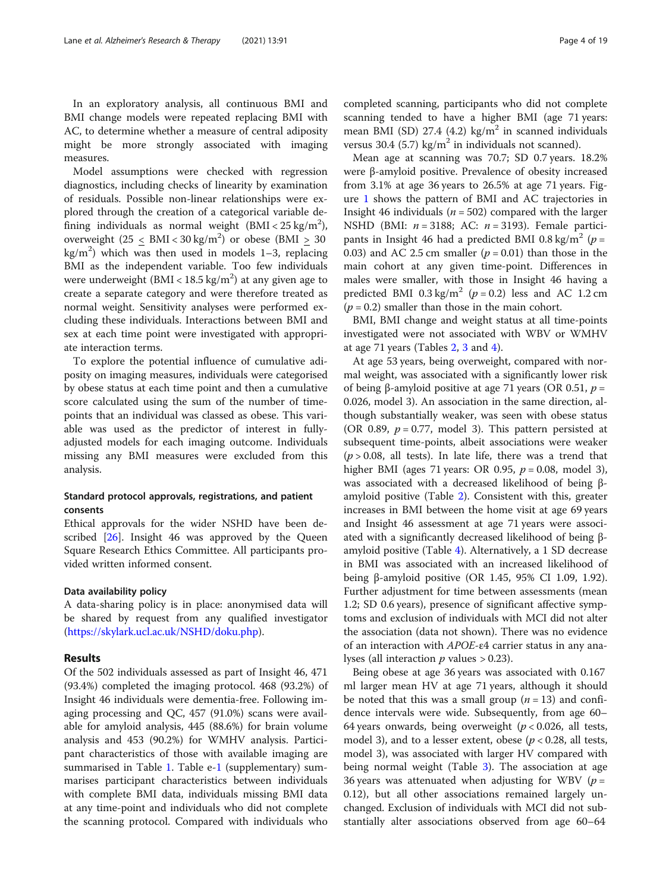In an exploratory analysis, all continuous BMI and BMI change models were repeated replacing BMI with AC, to determine whether a measure of central adiposity might be more strongly associated with imaging measures.

Model assumptions were checked with regression diagnostics, including checks of linearity by examination of residuals. Possible non-linear relationships were explored through the creation of a categorical variable defining individuals as normal weight  $(BMI < 25 \text{ kg/m}^2)$ , overweight  $(25 \leq \text{BMI} < 30 \text{ kg/m}^2)$  or obese  $(\text{BMI} \geq 30$  $\text{kg/m}^2$ ) which was then used in models 1-3, replacing BMI as the independent variable. Too few individuals were underweight (BMI <  $18.5 \text{ kg/m}^2$ ) at any given age to create a separate category and were therefore treated as normal weight. Sensitivity analyses were performed excluding these individuals. Interactions between BMI and sex at each time point were investigated with appropriate interaction terms.

To explore the potential influence of cumulative adiposity on imaging measures, individuals were categorised by obese status at each time point and then a cumulative score calculated using the sum of the number of timepoints that an individual was classed as obese. This variable was used as the predictor of interest in fullyadjusted models for each imaging outcome. Individuals missing any BMI measures were excluded from this analysis.

# Standard protocol approvals, registrations, and patient consents

Ethical approvals for the wider NSHD have been de-scribed [[26\]](#page-17-0). Insight 46 was approved by the Queen Square Research Ethics Committee. All participants provided written informed consent.

#### Data availability policy

A data-sharing policy is in place: anonymised data will be shared by request from any qualified investigator ([https://skylark.ucl.ac.uk/NSHD/doku.php\)](https://skylark.ucl.ac.uk/NSHD/doku.php).

#### Results

Of the 502 individuals assessed as part of Insight 46, 471 (93.4%) completed the imaging protocol. 468 (93.2%) of Insight 46 individuals were dementia-free. Following imaging processing and QC, 457 (91.0%) scans were available for amyloid analysis, 445 (88.6%) for brain volume analysis and 453 (90.2%) for WMHV analysis. Participant characteristics of those with available imaging are summarised in Table [1.](#page-4-0) Table e-[1](#page-14-0) (supplementary) summarises participant characteristics between individuals with complete BMI data, individuals missing BMI data at any time-point and individuals who did not complete the scanning protocol. Compared with individuals who completed scanning, participants who did not complete scanning tended to have a higher BMI (age 71 years: mean BMI (SD) 27.4 (4.2) kg/ $m^2$  in scanned individuals versus 30.4 (5.7) kg/m<sup>2</sup> in individuals not scanned).

Mean age at scanning was 70.7; SD 0.7 years. 18.2% were β-amyloid positive. Prevalence of obesity increased from 3.1% at age 36 years to 26.5% at age 71 years. Figure [1](#page-5-0) shows the pattern of BMI and AC trajectories in Insight 46 individuals ( $n = 502$ ) compared with the larger NSHD (BMI:  $n = 3188$ ; AC:  $n = 3193$ ). Female participants in Insight 46 had a predicted BMI 0.8 kg/m<sup>2</sup> ( $p =$ 0.03) and AC 2.5 cm smaller  $(p = 0.01)$  than those in the main cohort at any given time-point. Differences in males were smaller, with those in Insight 46 having a predicted BMI 0.3 kg/m<sup>2</sup> ( $p = 0.2$ ) less and AC 1.2 cm  $(p = 0.2)$  smaller than those in the main cohort.

BMI, BMI change and weight status at all time-points investigated were not associated with WBV or WMHV at age 71 years (Tables [2,](#page-6-0) [3](#page-8-0) and [4\)](#page-9-0).

At age 53 years, being overweight, compared with normal weight, was associated with a significantly lower risk of being β-amyloid positive at age 71 years (OR 0.51,  $p =$ 0.026, model 3). An association in the same direction, although substantially weaker, was seen with obese status (OR 0.89,  $p = 0.77$ , model 3). This pattern persisted at subsequent time-points, albeit associations were weaker  $(p > 0.08,$  all tests). In late life, there was a trend that higher BMI (ages 71 years: OR 0.95,  $p = 0.08$ , model 3), was associated with a decreased likelihood of being βamyloid positive (Table [2](#page-6-0)). Consistent with this, greater increases in BMI between the home visit at age 69 years and Insight 46 assessment at age 71 years were associated with a significantly decreased likelihood of being βamyloid positive (Table [4](#page-9-0)). Alternatively, a 1 SD decrease in BMI was associated with an increased likelihood of being β-amyloid positive (OR 1.45, 95% CI 1.09, 1.92). Further adjustment for time between assessments (mean 1.2; SD 0.6 years), presence of significant affective symptoms and exclusion of individuals with MCI did not alter the association (data not shown). There was no evidence of an interaction with APOE-ε4 carrier status in any analyses (all interaction  $p$  values  $> 0.23$ ).

Being obese at age 36 years was associated with 0.167 ml larger mean HV at age 71 years, although it should be noted that this was a small group  $(n = 13)$  and confidence intervals were wide. Subsequently, from age 60– 64 years onwards, being overweight ( $p < 0.026$ , all tests, model 3), and to a lesser extent, obese ( $p < 0.28$ , all tests, model 3), was associated with larger HV compared with being normal weight (Table [3\)](#page-8-0). The association at age 36 years was attenuated when adjusting for WBV ( $p =$ 0.12), but all other associations remained largely unchanged. Exclusion of individuals with MCI did not substantially alter associations observed from age 60–64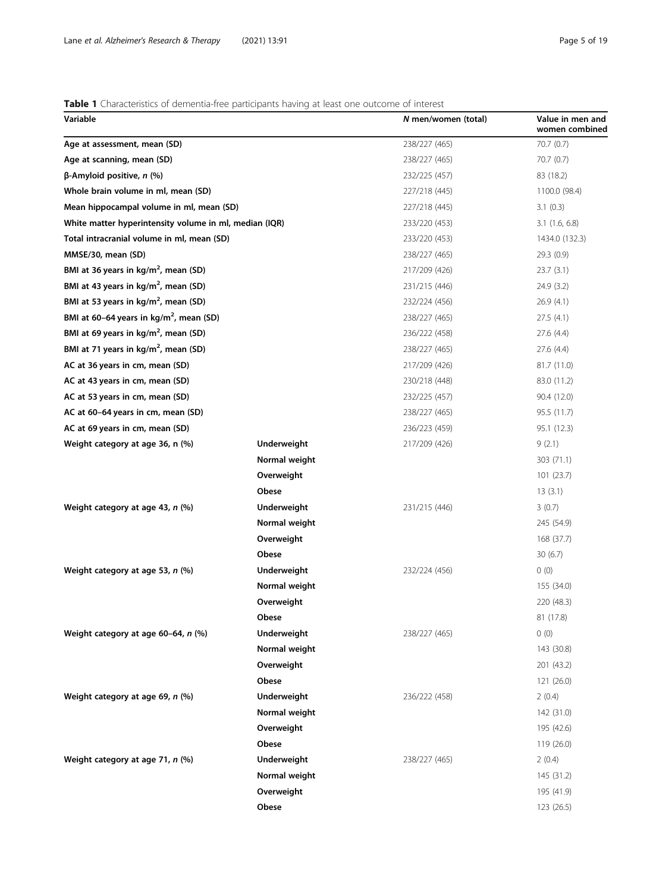# <span id="page-4-0"></span>Table 1 Characteristics of dementia-free participants having at least one outcome of interest

| Variable                                               |               | N men/women (total) | Value in men and<br>women combined |
|--------------------------------------------------------|---------------|---------------------|------------------------------------|
| Age at assessment, mean (SD)                           |               | 238/227 (465)       | 70.7 (0.7)                         |
| Age at scanning, mean (SD)                             |               | 238/227 (465)       | 70.7 (0.7)                         |
| $β$ -Amyloid positive, <i>n</i> (%)                    |               | 232/225 (457)       | 83 (18.2)                          |
| Whole brain volume in ml, mean (SD)                    |               | 227/218 (445)       | 1100.0 (98.4)                      |
| Mean hippocampal volume in ml, mean (SD)               |               | 227/218 (445)       | 3.1(0.3)                           |
| White matter hyperintensity volume in ml, median (IQR) |               | 233/220 (453)       | 3.1(1.6, 6.8)                      |
| Total intracranial volume in ml, mean (SD)             |               | 233/220 (453)       | 1434.0 (132.3)                     |
| MMSE/30, mean (SD)                                     |               | 238/227 (465)       | 29.3(0.9)                          |
| BMI at 36 years in $kg/m2$ , mean (SD)                 |               | 217/209 (426)       | 23.7(3.1)                          |
| BMI at 43 years in kg/m <sup>2</sup> , mean (SD)       |               | 231/215 (446)       | 24.9 (3.2)                         |
| BMI at 53 years in kg/m <sup>2</sup> , mean (SD)       |               | 232/224 (456)       | 26.9(4.1)                          |
| BMI at 60-64 years in $kg/m2$ , mean (SD)              |               | 238/227 (465)       | 27.5(4.1)                          |
| BMI at 69 years in $\text{kg/m}^2$ , mean (SD)         |               | 236/222 (458)       | 27.6 (4.4)                         |
| BMI at 71 years in kg/m <sup>2</sup> , mean (SD)       |               | 238/227 (465)       | 27.6 (4.4)                         |
| AC at 36 years in cm, mean (SD)                        |               | 217/209 (426)       | 81.7 (11.0)                        |
| AC at 43 years in cm, mean (SD)                        |               | 230/218 (448)       | 83.0 (11.2)                        |
| AC at 53 years in cm, mean (SD)                        |               | 232/225 (457)       | 90.4 (12.0)                        |
| AC at 60–64 years in cm, mean (SD)                     |               | 238/227 (465)       | 95.5 (11.7)                        |
| AC at 69 years in cm, mean (SD)                        |               | 236/223 (459)       | 95.1 (12.3)                        |
| Weight category at age 36, n (%)                       | Underweight   | 217/209 (426)       | 9(2.1)                             |
|                                                        | Normal weight |                     | 303 (71.1)                         |
|                                                        | Overweight    |                     | 101 (23.7)                         |
|                                                        | Obese         |                     | 13(3.1)                            |
| Weight category at age 43, n (%)                       | Underweight   | 231/215 (446)       | 3(0.7)                             |
|                                                        | Normal weight |                     | 245 (54.9)                         |
|                                                        | Overweight    |                     | 168 (37.7)                         |
|                                                        | Obese         |                     | 30(6.7)                            |
| Weight category at age 53, n (%)                       | Underweight   | 232/224 (456)       | 0(0)                               |
|                                                        | Normal weight |                     | 155 (34.0)                         |
|                                                        | Overweight    |                     | 220 (48.3)                         |
|                                                        | Obese         |                     | 81 (17.8)                          |
| Weight category at age 60-64, n (%)                    | Underweight   | 238/227 (465)       | 0(0)                               |
|                                                        | Normal weight |                     | 143 (30.8)                         |
|                                                        | Overweight    |                     | 201 (43.2)                         |
|                                                        | Obese         |                     | 121 (26.0)                         |
| Weight category at age 69, n (%)                       | Underweight   | 236/222 (458)       | 2(0.4)                             |
|                                                        | Normal weight |                     | 142 (31.0)                         |
|                                                        | Overweight    |                     | 195 (42.6)                         |
|                                                        | Obese         |                     | 119 (26.0)                         |
| Weight category at age 71, n (%)                       | Underweight   | 238/227 (465)       | 2(0.4)                             |
|                                                        | Normal weight |                     | 145 (31.2)                         |
|                                                        | Overweight    |                     | 195 (41.9)                         |
|                                                        | Obese         |                     | 123 (26.5)                         |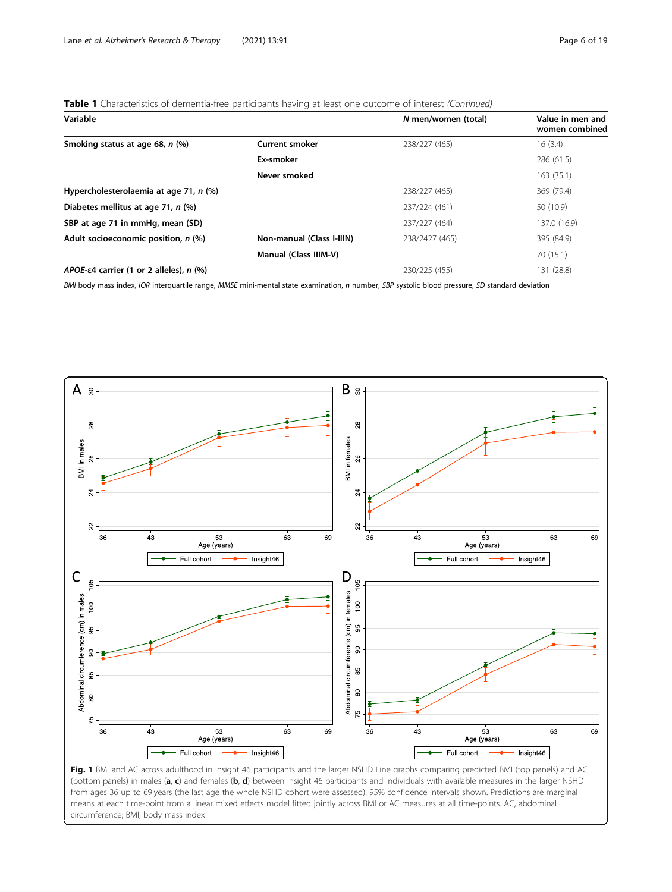# <span id="page-5-0"></span>Table 1 Characteristics of dementia-free participants having at least one outcome of interest (Continued)

| Variable                                           |                                  | N men/women (total) | Value in men and<br>women combined |
|----------------------------------------------------|----------------------------------|---------------------|------------------------------------|
| Smoking status at age 68, n (%)                    | <b>Current smoker</b>            | 238/227 (465)       | 16(3.4)                            |
|                                                    | Ex-smoker                        |                     | 286 (61.5)                         |
|                                                    | Never smoked                     |                     | 163 (35.1)                         |
| Hypercholesterolaemia at age 71, n (%)             |                                  | 238/227 (465)       | 369 (79.4)                         |
| Diabetes mellitus at age 71, n (%)                 |                                  | 237/224 (461)       | 50 (10.9)                          |
| SBP at age 71 in mmHg, mean (SD)                   |                                  | 237/227 (464)       | 137.0 (16.9)                       |
| Adult socioeconomic position, n (%)                | <b>Non-manual (Class I-IIIN)</b> | 238/2427 (465)      | 395 (84.9)                         |
|                                                    | Manual (Class IIIM-V)            |                     | 70 (15.1)                          |
| APOE- $\epsilon$ 4 carrier (1 or 2 alleles), n (%) |                                  | 230/225 (455)       | 131 (28.8)                         |

BMI body mass index, IQR interquartile range, MMSE mini-mental state examination, n number, SBP systolic blood pressure, SD standard deviation



(bottom panels) in males (a, c) and females (b, d) between Insight 46 participants and individuals with available measures in the larger NSHD from ages 36 up to 69 years (the last age the whole NSHD cohort were assessed). 95% confidence intervals shown. Predictions are marginal means at each time-point from a linear mixed effects model fitted jointly across BMI or AC measures at all time-points. AC, abdominal circumference; BMI, body mass index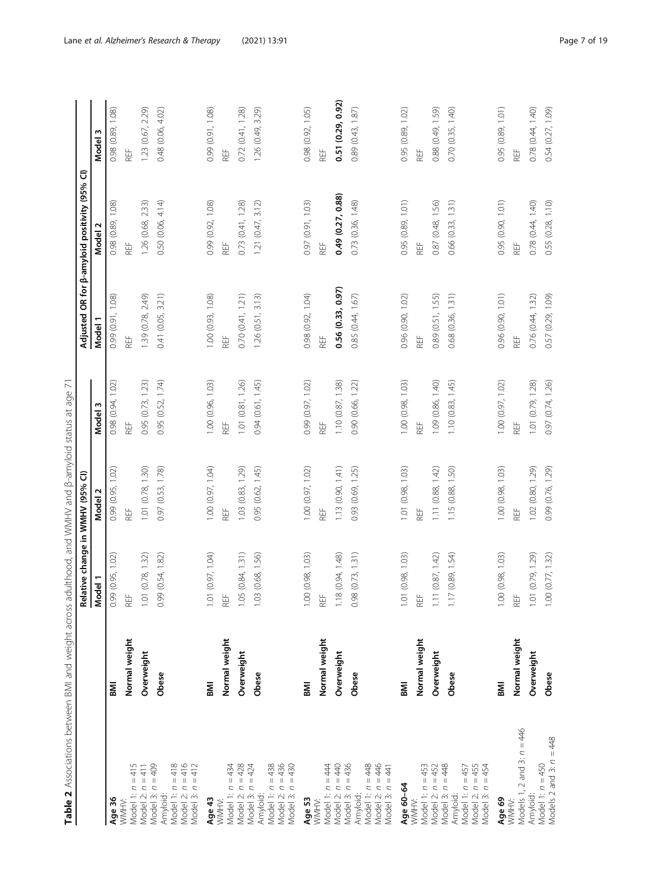<span id="page-6-0"></span>

| Table 2 Associations between BMI and weight across adulthood, and WMHV and B-amyloid status at age 71 |               |                                             |                   |                   |                   |                                                      |                   |
|-------------------------------------------------------------------------------------------------------|---------------|---------------------------------------------|-------------------|-------------------|-------------------|------------------------------------------------------|-------------------|
|                                                                                                       |               |                                             |                   |                   |                   | Adjusted OR for $\beta$ -amyloid positivity (95% Cl) |                   |
|                                                                                                       |               | Relative change in WMHV (95% CI)<br>Model 1 |                   | Model 3           | Model 1           | Model <sub>2</sub>                                   | Model 3           |
| Age 36                                                                                                | ms            | 0.99(0.95, 1.02)                            | 0.99 (0.95, 1.02) | 0.98 (0.94, 1.02) | 0.99 (0.91, 1.08) | 0.98 (0.89, 1.08)                                    | 0.98 (0.89, 1.08) |
| $\mathbb{I}$<br>Model 1: n<br>WMHV:                                                                   | Normal weight | REF                                         | REF               | REF               | REF               | REF                                                  | REF               |
| Model 2: $n = 411$                                                                                    | Overweight    | 1.01(0.78, 1.32)                            | 1.01 (0.78, 1.30) | 0.95 (0.73, 1.23) | 1.39 (0.78, 2.49) | 1.26 (0.68, 2.33)                                    | 1.23 (0.67, 2.29) |
| Model 3: n = 409<br>Amyloid:                                                                          | Obese         | 0.99(0.54, 1.82)                            | 0.97 (0.53, 1.78) | 0.95 (0.52, 1.74) | 0.41 (0.05, 3.21) | 0.50 (0.06, 4.14)                                    | 0.48 (0.06, 4.02) |
| Model 1: n = 418<br>Model 2: n = 416<br>Model 3: $n = 412$                                            |               |                                             |                   |                   |                   |                                                      |                   |
| Age 43                                                                                                | <b>INS</b>    | 1.01 (0.97, 1.04)                           | 1.00 (0.97, 1.04) | 1.00 (0.96, 1.03) | 1.00 (0.93, 1.08) | 0.99 (0.92, 1.08)                                    | 0.99 (0.91, 1.08) |
| WMHV:                                                                                                 | Normal weight | $\mathsf{REF}$                              | REF               | REF               | REF               | REF                                                  | REF               |
| Model 1: $n = 434$<br>Model 2: $n = 428$<br>Model 3: $n = 424$                                        | Overweight    | 1.05(0.84, 1.31)                            | 1.03 (0.83, 1.29) | 1.01 (0.81, 1.26) | 0.70(0.41, 1.21)  | 0.73(0.41, 1.28)                                     | 0.72(0.41, 1.28)  |
| Amyloid:                                                                                              | Obese         | 1.03(0.68, 1.56)                            | 0.95 (0.62, 1.45) | 0.94(0.61, 1.45)  | 1.26(0.51, 3.13)  | 1.21(0.47, 3.12)                                     | 1.26 (0.49, 3.29) |
| Model 1: $n = 438$<br>Model 2: $n = 436$<br>Model 3: $n = 430$                                        |               |                                             |                   |                   |                   |                                                      |                   |
| Age 53<br>WMHV:                                                                                       | Μl            | 1.00(0.98, 1.03)                            | 1.00 (0.97, 1.02) | 0.99 (0.97, 1.02) | 0.98 (0.92, 1.04) | 0.97 (0.91, 1.03)                                    | 0.98 (0.92, 1.05) |
| Model 1: $n = 444$                                                                                    | Normal weight | REF                                         | REF               | REF               | REF               | REF                                                  | REF               |
| Model 2: $n = 440$                                                                                    | Overweight    | 1.18(0.94, 1.48)                            | 1.13 (0.90, 1.41) | 1.10(0.87, 1.38)  | 0.56(0.33, 0.97)  | 0.49 (0.27, 0.88)                                    | 0.51 (0.29, 0.92) |
| Model 3: $n = 436$<br>Amyloid:                                                                        | Obese         | 0.98(0.73, 1.31)                            | 0.93 (0.69, 1.25) | 0.90 (0.66, 1.22) | 0.85 (0.44, 1.67) | 0.73 (0.36, 1.48)                                    | 0.89 (0.43, 1.87) |
| Model 1: $n = 448$<br>Model 2: $n = 446$<br>Model 3: $n = 441$                                        |               |                                             |                   |                   |                   |                                                      |                   |
| Age 60-64                                                                                             | <b>IINB</b>   | 1.01 (0.98, 1.03)                           | 1.01 (0.98, 1.03) | 1.00(0.98, 1.03)  | 0.96 (0.90, 1.02) | 0.95 (0.89, 1.01)                                    | 0.95 (0.89, 1.02) |
| Model 1: $n = 453$<br>WMHV:                                                                           | Normal weight | REF                                         | REF               | REF               | REF               | REF                                                  | REF               |
| Model 2: $n = 452$                                                                                    | Overweight    | 1.11(0.87, 1.42)                            | 1.11 (0.88, 1.42) | 1.09 (0.86, 1.40) | 0.89 (0.51, 1.55) | 0.87 (0.48, 1.56)                                    | 0.88 (0.49, 1.59) |
| Model 3: $n = 448$<br>Model 1: $n = 457$<br>Model 2: $n = 455$<br>$= 454$<br>Model 3: n<br>Amyloid:   | Obese         | 1.17(0.89, 1.54)                            | 1.15 (0.88, 1.50) | 1.10(0.83, 1.45)  | 0.68 (0.36, 1.31) | 0.66(0.33, 1.31)                                     | 0.70(0.35, 1.40)  |
| Age 69<br>WMHV:                                                                                       | <b>INI</b>    | 1.00(0.98, 1.03)                            | 1.00 (0.98, 1.03) | 1.00 (0.97, 1.02) | 0.96 (0.90, 1.01) | 0.95 (0.90, 1.01)                                    | 0.95 (0.89, 1.01) |
| Models 1, 2 and 3: $n = 446$                                                                          | Normal weight | REF                                         | REF               | REF               | REF               | REF                                                  | REF               |
| Amyloid:                                                                                              | Overweight    | 1.01 (0.79, 1.29)                           | 1.02 (0.80, 1.29) | 1.01 (0.79, 1.28) | 0.76 (0.44, 1.32) | 0.78 (0.44, 1.40)                                    | 0.78 (0.44, 1.40) |
| Model 1: $n = 450$<br>Models 2 and 3: $n = 448$                                                       | Obese         | 1.00(0.77, 1.32)                            | 0.99 (0.76, 1.29) | 0.97 (0.74, 1.26) | 0.57 (0.29, 1.09) | 0.55 (0.28, 1.10)                                    | 0.54 (0.27, 1.09) |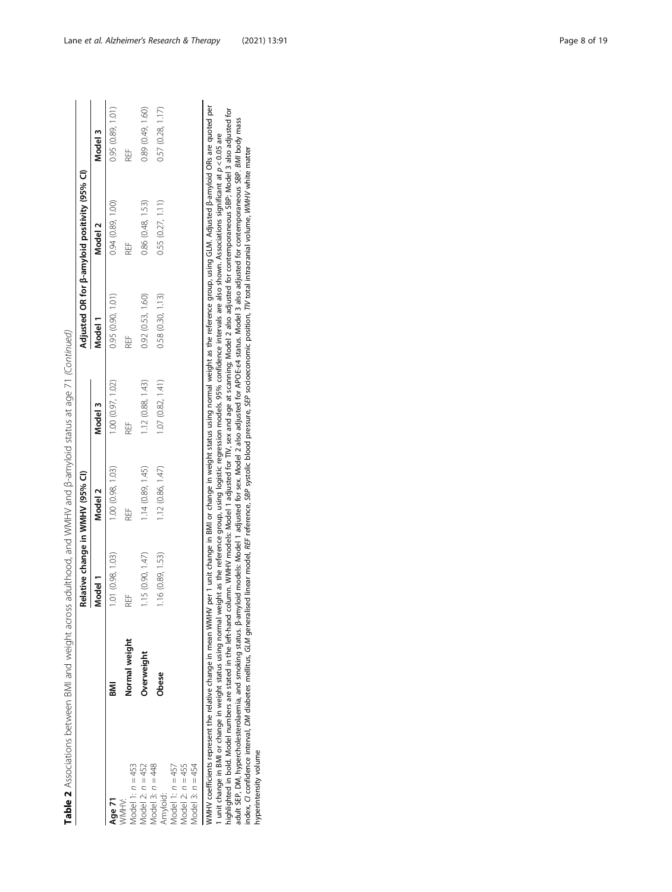| ١                                                              |
|----------------------------------------------------------------|
| ć<br>ï<br>١<br>j                                               |
|                                                                |
|                                                                |
| ί<br>١                                                         |
| j                                                              |
| ř<br>ï                                                         |
| J<br>ŕ<br>ś<br>i                                               |
|                                                                |
|                                                                |
| ۱<br>֚֚֬                                                       |
|                                                                |
|                                                                |
| $\ddot{\phantom{a}}$                                           |
| ł<br>j                                                         |
| ì                                                              |
| j<br>ł<br>ł<br>١                                               |
|                                                                |
| İ                                                              |
| ć                                                              |
| ֖֖֖֖֖֖֖֧ׅ֧֚֚֚֚֚֚֚֚֚֚֚֚֚֚֚֬֝֓֬֓֡֬֓֡֬֓֬֓֡֓֬֓֓֬֓֬֓֓֬֓֬֓֬֓֓֬֓֓֬֓֡֬ |
| ļ<br>¢<br>۱                                                    |
|                                                                |
| i<br>l<br>$\overline{\mathbf{r}}$                              |
| ļ<br>ţ                                                         |
| ֚֬֕<br>i<br>ī                                                  |
|                                                                |
| ļ<br>J                                                         |
| j                                                              |
|                                                                |
| j<br>j                                                         |
| ī<br>j<br>i<br>ž                                               |
| 1<br>5                                                         |
| ł                                                              |
|                                                                |
| Ξ<br>١                                                         |
| ׇ֚֘֡<br>ī<br>١                                                 |
| l<br>1<br>l<br>$\ddot{\phantom{0}}$                            |
| j                                                              |
| l                                                              |
| ł<br>Ì                                                         |
| į<br>٦<br>i                                                    |
| ï<br>Ì<br>١                                                    |
| č                                                              |
| ı<br>r                                                         |
|                                                                |
| able<br>$\vdots$                                               |
| I                                                              |

|                                          |                                                                     | Relative change in WMHV (95% CI) |                  |                   |                  | Adjusted OR for $\beta$ -amyloid positivity (95% CI)                                                                                           |                   |
|------------------------------------------|---------------------------------------------------------------------|----------------------------------|------------------|-------------------|------------------|------------------------------------------------------------------------------------------------------------------------------------------------|-------------------|
|                                          |                                                                     | Model 1                          | Model 2          | Model 3           | Model 1          | Model 2                                                                                                                                        | Model 3           |
| <b>Age 71</b>                            | Ma                                                                  | 1.01(0.98, 1.03)                 | 1.00(0.98, 1.03) | .00(0.97, 1.02)   | 0.95(0.90, 1.01) | 0.94(0.89, 1.00)                                                                                                                               | 0.95(0.89, 1.01)  |
| Model 1: $n = 453$<br>MMHV:              | <b>Vormal weight</b>                                                | RËF                              | RËF              | H<br>2            | 出<br>R           | ₩                                                                                                                                              | REF               |
| Model 2: $n = 452$                       | Overweight                                                          | 1.15(0.90, 1.47)                 | 1.14(0.89, 1.45) | 1.12 (0.88, 1.43) | 0.92(0.53, 1.60) | 0.86 (0.48, 1.53)                                                                                                                              | 0.89 (0.49, 1.60) |
| Model 3: $n = 448$<br>Amyloid:           | bese                                                                | 1.16(0.89, 1.53)                 | 1.12(0.86, 1.47) | 1.07(0.82, 1.41)  | 0.58(0.30, 1.13) | 0.55 (0.27, 1.11)                                                                                                                              | 0.57(0.28, 1.17)  |
| Model 1: $n = 457$<br>Model 2: $n = 455$ |                                                                     |                                  |                  |                   |                  |                                                                                                                                                |                   |
| Model 3: $n = 454$                       |                                                                     |                                  |                  |                   |                  |                                                                                                                                                |                   |
|                                          | $M$ MMHV coefficients represent the relative chappe in mean $M$ MHV |                                  |                  |                   |                  | per 1 upit change in BMI or change in weight status using pormal weight as the reference group using GIM Adjusted B-amyloid OBs are guided per |                   |

WMHV coefficients represent the relative change in mean WMHV per 1 unit change in BMI or change in weight status using normal weight as the reference group, using GLM. Adjusted psamyloid OKs are quoted per interaction of t WMHV coefficients represent the relative change in mean WMHV per 1 unit change in BMI or change in weight status using normal weight as the reference group, using GLM. Adjusted β-amyloid ORs are quoted per highlighted in bold. Model numbers are stated in the left-hand column. WMHV models: Model 1 adjusted for TIV, sex and age at scanning; Model 2 also adjusted for contemporaneous SBP; Model 3 also adjusted for adult SEP, DM, hypercholesterolaemia, and smoking status. β-amyloid models: Model 1 adjusted for sex. Model 2 also adjusted for APOE-ε4 status. Model 3 also adjusted for contemporaneous SBP. BMI body mass 1 unit change in BMI or change in weight status using normal weight as the reference group, using logistic regression models. 95% confidence intervals are also shown. Associations significant at p < 0.05 are index, CI confidence interval, DM diabetes mellitus, GLM generalised linear model, REF reference, SBP systolic blood pressure, SEP socioeconomic position, TIV total intracranial volume, WMHV white matter hyperintensity volume hyperintensity volume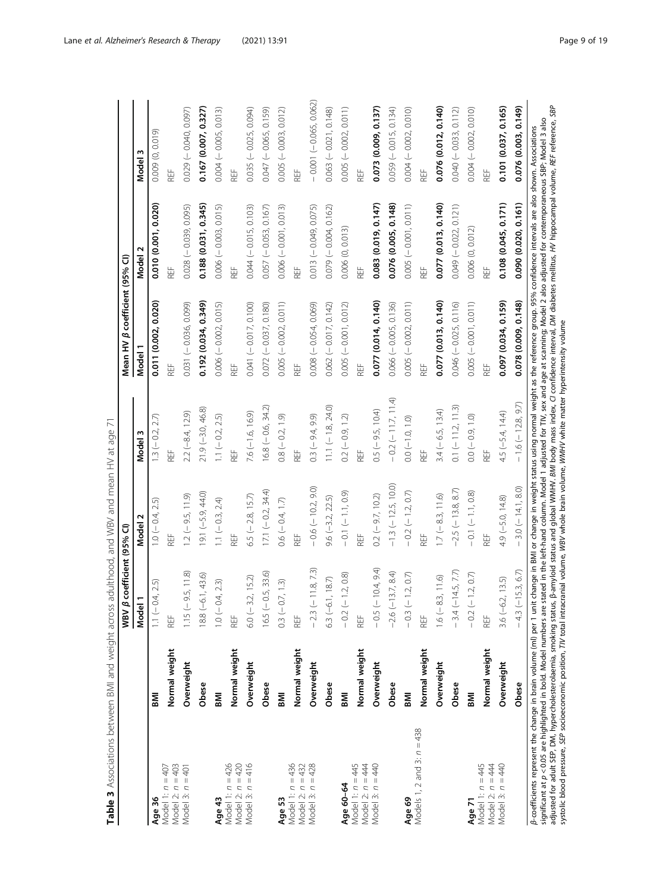<span id="page-8-0"></span>

|                                                                                                                                                                                                                                                                                                                                                                                                                                                                                                                                                                                                                                                                                                                                                                                                                |               | coefficient (95% CI)<br>WBV $\beta$ |                         |                      | Mean HV $\beta$ coefficient (95% CI) |                         |                          |
|----------------------------------------------------------------------------------------------------------------------------------------------------------------------------------------------------------------------------------------------------------------------------------------------------------------------------------------------------------------------------------------------------------------------------------------------------------------------------------------------------------------------------------------------------------------------------------------------------------------------------------------------------------------------------------------------------------------------------------------------------------------------------------------------------------------|---------------|-------------------------------------|-------------------------|----------------------|--------------------------------------|-------------------------|--------------------------|
|                                                                                                                                                                                                                                                                                                                                                                                                                                                                                                                                                                                                                                                                                                                                                                                                                |               | Model 1                             | Model 2                 | Model 3              | Model 1                              | Model 2                 | Model 3                  |
| Age 36                                                                                                                                                                                                                                                                                                                                                                                                                                                                                                                                                                                                                                                                                                                                                                                                         | <b>INS</b>    | $1.1 (-0.4, 2.5)$                   | $1.0 (-0.4, 2.5)$       | $13 (-0.2, 2.7)$     | 0.011 (0.002, 0.020)                 | 0.010 (0.001, 0.020)    | 0.009 (0, 0.019)         |
| Model 2: $n = 403$<br>Model 1: $n = 407$                                                                                                                                                                                                                                                                                                                                                                                                                                                                                                                                                                                                                                                                                                                                                                       | Normal weight | REF                                 |                         | REF                  |                                      | REF                     | REF                      |
| Model 3: $n = 401$                                                                                                                                                                                                                                                                                                                                                                                                                                                                                                                                                                                                                                                                                                                                                                                             | Overweight    | $1.15 (-9.5, 11.8)$                 | $1.2 (-9.5, 11.9)$      | $2.2 (-8.4, 12.9)$   | 0.031 (-0.036, 0.099)                | $0.028 (-0.039, 0.095)$ | $0.029(-0.040, 0.097)$   |
|                                                                                                                                                                                                                                                                                                                                                                                                                                                                                                                                                                                                                                                                                                                                                                                                                | Obese         | $18.8(-6.1, 43.6)$                  | $19.1 (-5.9, 44.0)$     | $21.9(-3.0, 46.8)$   | 0.192 (0.034, 0.349)                 | 0.188 (0.031, 0.345)    | 0.167(0.007, 0.327)      |
| Age 43                                                                                                                                                                                                                                                                                                                                                                                                                                                                                                                                                                                                                                                                                                                                                                                                         | IMB           | $1.0 (-0.4, 2.3)$                   | 1.1 $(-0.3, 2.4)$       | $1.1 (-0.2, 2.5)$    | $0.006 (-0.002, 0.015)$              | $0.006 (-0.003, 0.015)$ | $0.004 (-0.005, 0.013)$  |
| Model 1: $n = 426$                                                                                                                                                                                                                                                                                                                                                                                                                                                                                                                                                                                                                                                                                                                                                                                             | Normal weight | REF                                 | REF<br>E                | HE<br>化              | REF<br>E                             | REF<br>E                | REF                      |
| Model 2: $n = 420$<br>Model 3: $n = 416$                                                                                                                                                                                                                                                                                                                                                                                                                                                                                                                                                                                                                                                                                                                                                                       | Overweight    | $6.0 (-3.2, 15.2)$                  | $6.5 (-2.8, 15.7)$      | $7.6(-1.6, 16.9)$    | $0.041 (-0.017, 0.100)$              | $0.044 (-0.015, 0.103)$ | $0.035 (-0.025, 0.094)$  |
|                                                                                                                                                                                                                                                                                                                                                                                                                                                                                                                                                                                                                                                                                                                                                                                                                | Obese         | $16.5 (-0.5, 33.6)$                 | $17.1 (-0.2, 34.4)$     | $16.8 (-0.6, 34.2)$  | $0.072 (-0.037, 0.180)$              | $0.057 (-0.053, 0.167)$ | $0.047 (-0.065, 0.159)$  |
| Age 53                                                                                                                                                                                                                                                                                                                                                                                                                                                                                                                                                                                                                                                                                                                                                                                                         | <b>INS</b>    | $0.3 (-0.7, 1.3)$                   | $0.6 (-0.4, 1.7)$       | $0.8 (-0.2, 1.9)$    | $0.005 (-0.002, 0.011)$              | $0.006 (-0.001, 0.013)$ | $0.005 (-0.003, 0.012)$  |
| Model 1: $n = 436$<br>Model 2: $n = 432$                                                                                                                                                                                                                                                                                                                                                                                                                                                                                                                                                                                                                                                                                                                                                                       | Normal weight | REF                                 |                         | REF                  |                                      | REF                     | REF                      |
| Model 3: $n = 428$                                                                                                                                                                                                                                                                                                                                                                                                                                                                                                                                                                                                                                                                                                                                                                                             | Overweight    | $-2.3$ ( $-11.8$ , 7.3)             | $-0.6$ ( $-10.2, 9.0$ ) | $0.3 (-9.4, 9.9)$    | $0.008 (-0.054, 0.069)$              | $0.013 (-0.049, 0.075)$ | $-0.001 (-0.065, 0.062)$ |
|                                                                                                                                                                                                                                                                                                                                                                                                                                                                                                                                                                                                                                                                                                                                                                                                                | Obese         | $5.3(-6.1, 18.7)$                   | $9.6 (-3.2, 22.5)$      | $11.1 (-1.8, 24.0)$  | $0.062 (-0.017, 0.142)$              | $0.079(-0.004, 0.162)$  | $0.063 (-0.021, 0.148)$  |
| Age 60-64                                                                                                                                                                                                                                                                                                                                                                                                                                                                                                                                                                                                                                                                                                                                                                                                      | IMB           | $-0.2(-1.2, 0.8)$                   | $-0.1(-1.1, 0.9)$       | $0.2 (-0.9, 1.2)$    | $0.005 (-0.001, 0.012)$              | 0.006 (0, 0.013)        | $0.005 (-0.002, 0.011)$  |
| Model 1: $n = 445$<br>Model 2: $n = 444$                                                                                                                                                                                                                                                                                                                                                                                                                                                                                                                                                                                                                                                                                                                                                                       | Normal weight | REF                                 | REF                     | REF                  | REF                                  | REF                     | REF                      |
| Model 3: $n = 440$                                                                                                                                                                                                                                                                                                                                                                                                                                                                                                                                                                                                                                                                                                                                                                                             | Overweight    | $-0.5(-10.4, 9.4)$                  | $0.2 (-9.7, 10.2)$      | $0.5 (-9.5, 10.4)$   | 0.077 (0.014, 0.140)                 | 0.083 (0.019, 0.147)    | 0.073 (0.009, 0.137)     |
|                                                                                                                                                                                                                                                                                                                                                                                                                                                                                                                                                                                                                                                                                                                                                                                                                | Obese         | $-2.6$ ( $-13.7, 8.4$ )             | $-1.3$ (-12.5, 10.0)    | $-0.2 (-11.7, 11.4)$ | $0.066 (-0.005, 0.136)$              | 0.076 (0.005, 0.148)    | $0.059 (-0.015, 0.134)$  |
| Age 69                                                                                                                                                                                                                                                                                                                                                                                                                                                                                                                                                                                                                                                                                                                                                                                                         | <b>INS</b>    | $-0.3(-1.2, 0.7)$                   | $-0.2$ (-1.2, 0.7)      | $0.0 (-1.0, 1.0)$    | $0.005 (-0.002, 0.011)$              | $0.005 (-0.001, 0.011)$ | $0.004 (-0.002, 0.010)$  |
| Models 1, 2 and 3: $n = 438$                                                                                                                                                                                                                                                                                                                                                                                                                                                                                                                                                                                                                                                                                                                                                                                   | Normal weight | REF                                 |                         | REF                  | REF                                  | REF                     | REF                      |
|                                                                                                                                                                                                                                                                                                                                                                                                                                                                                                                                                                                                                                                                                                                                                                                                                | Overweight    | $1.6(-8.3, 11.6)$                   | $1.7 (-8.3, 11.6)$      | $3.4 (-6.5, 13.4)$   | 0.077 (0.013, 0.140)                 | 0.077 (0.013, 0.140)    | 0.076 (0.012, 0.140)     |
|                                                                                                                                                                                                                                                                                                                                                                                                                                                                                                                                                                                                                                                                                                                                                                                                                | Obese         | $-3.4$ ( $-14.5$ , 7.7)             | $-2.5$ (-13.8, 8.7)     | $0.1 (-11.2, 11.3)$  | $0.046 (-0.025, 0.116)$              | $0.049 (-0.022, 0.121)$ | $0.040 (-0.033, 0.112)$  |
| Age 71                                                                                                                                                                                                                                                                                                                                                                                                                                                                                                                                                                                                                                                                                                                                                                                                         | <b>INB</b>    | $-0.2$ $(-1.2, 0.7)$                | $-0.1 (-1.1, 0.8)$      | $0.0 (-0.9, 1.0)$    | $0.005 (-0.001, 0.011)$              | 0.006 (0, 0.012)        | $0.004 (-0.002, 0.010)$  |
| Model 1: $n = 445$                                                                                                                                                                                                                                                                                                                                                                                                                                                                                                                                                                                                                                                                                                                                                                                             | Normal weight | REF                                 | REF                     | REF                  | REF                                  | REF                     | REF                      |
| Model 2: n = 444<br>Model 3: n = 440                                                                                                                                                                                                                                                                                                                                                                                                                                                                                                                                                                                                                                                                                                                                                                           | Overweight    | $3.6(-6.2, 13.5)$                   | $4.9(-5.0, 14.8)$       | 4.5 (-5.4, 14.4)     | 0.097 (0.034, 0.159)                 | 0.108 (0.045, 0.171)    | 0.101 (0.037, 0.165)     |
|                                                                                                                                                                                                                                                                                                                                                                                                                                                                                                                                                                                                                                                                                                                                                                                                                | Obese         | $-4.3 (-15.3, 6.7)$                 | $-3.0(-14.1, 8.0)$      | $-1.6$ (-12.8, 9.7)  | 0.078 (0.009, 0.148)                 | 0.090 (0.020, 0.161)    | 0.076 (0.003, 0.149)     |
| adjusted for adult SEP, DM, hypercholesterolaemia, smoking status, B-amyloid status and global WMHV. BM/ hody mass index, C/ confidence interval, DM diabetes melitus, HV hippocampal volume, REF reference, SBP<br>significant at p < 0.05 are highlighted in bold. Model numbers are stated in the left-hand column. Model 1 adjusted for TIV, sex and age at scanning; Model 2 also adjusted for contemporaneous SBP, Model 3 also<br>ß-coefficients represent the change in brain volume (ml) per 1 unit change in BMI or change in weight status using normal weight as the reference group. 95% confidence intervals are also shown. Associations<br>systolic blood pressure, SEP socioeconomic position, TIV total intracranial volume, WBV whole brain volume, WMHV white matter hyperintensity volume |               |                                     |                         |                      |                                      |                         |                          |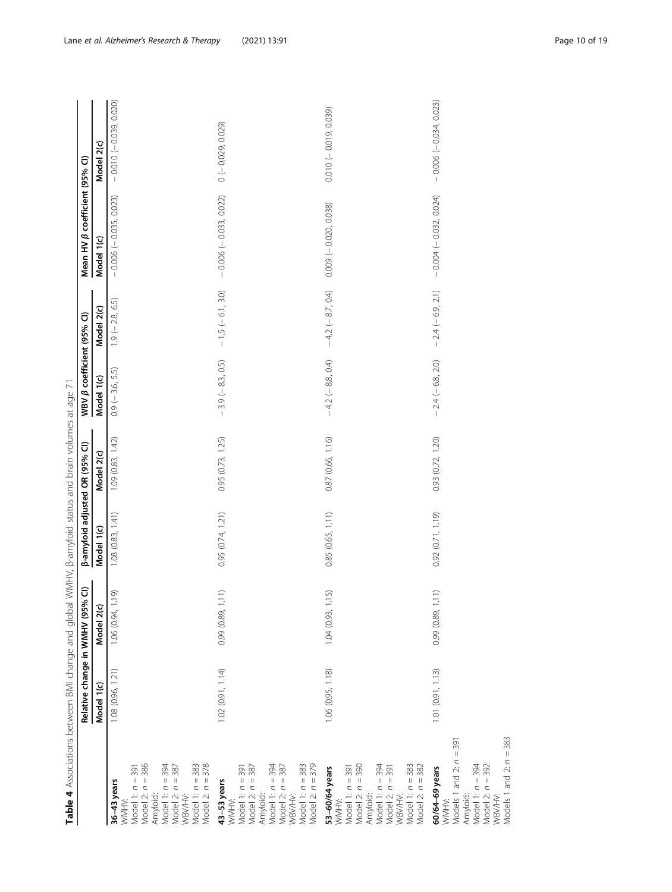| ľ                                |
|----------------------------------|
|                                  |
| Ì<br>Ì<br>)                      |
|                                  |
| ;<br>;                           |
| $\frac{1}{2}$<br>j               |
|                                  |
|                                  |
|                                  |
| י הייתומית                       |
|                                  |
| $\frac{1}{2}$                    |
|                                  |
|                                  |
|                                  |
|                                  |
| ว<br>ว<br>ว                      |
| į                                |
|                                  |
| J<br>ī                           |
| ׇ֚֬                              |
|                                  |
| $\overline{\phantom{a}}$         |
| j                                |
|                                  |
|                                  |
|                                  |
| ī                                |
|                                  |
|                                  |
|                                  |
|                                  |
| í<br>į                           |
| Ò                                |
| ١                                |
| ׇ֚֬֓֡֡֡֡                         |
| آ<br>ا                           |
|                                  |
| $\frac{1}{2}$<br>١               |
| $\overline{1}$                   |
| i<br>$\overline{a}$              |
|                                  |
|                                  |
| Ξ<br>Ï                           |
|                                  |
| i                                |
|                                  |
| j                                |
| $\frac{1}{3}$                    |
|                                  |
| $\frac{1}{2}$                    |
|                                  |
| j                                |
| j<br>j                           |
| J                                |
| j<br>í                           |
| ì                                |
|                                  |
|                                  |
|                                  |
| Table 4 $\sim$<br>$\overline{a}$ |

<span id="page-9-0"></span>

|                                                                                                                                                                        | Relative change in WMHV (95% | $\widehat{\mathtt{c}}$ | <b>β-amyloid adjusted OR (95% CI)</b> |                   | WBV $\beta$ coefficient (95% CI) |                    | Mean HV $\beta$ coefficient (95% CI) |                         |
|------------------------------------------------------------------------------------------------------------------------------------------------------------------------|------------------------------|------------------------|---------------------------------------|-------------------|----------------------------------|--------------------|--------------------------------------|-------------------------|
|                                                                                                                                                                        | Model 1(c)                   | Model 2(c)             | Model 1(c)                            | Model 2(c)        | Model 1(c)                       | Model 2(c)         | Model 1(c)                           | Model 2(c)              |
| Model 1: n = 391<br>Model 2: n = 386<br>Amyloid:<br>Model 1: n = 383<br>Model 2: n = 378<br>Model 1: n = 394<br>Model 2: n = 387<br>WBV/HV:<br>36-43 years<br>WMHV:    | 1.08 (0.96, 1.21)            | 1.06 (0.94, 1.19)      | 1.08 (0.83, 1.41)                     | 1.09(0.83, 1.42)  | $0.9$ (-3.6, 5.5)                | $1.9 (-2.8, 6.5)$  | $-0.006(-0.035, 0.023)$              | $-0.010(-0.039, 0.020)$ |
| Model 1: n = 383<br>Model 2: n = 379<br>Model 1: $n = 394$<br>Model 1: n = 391<br>Model 2: n = 387<br>Amyloid:<br>Model 2: n = 387<br>WBV/HV:<br>43-53 years<br>WMHV:  | 1.02 (0.91, 1.14)            | 0.99 (0.89, 1.11)      | 0.95(0.74, 1.21)                      | 0.95(0.73, 1.25)  | $-3.9(-8.3, 0.5)$                | $-1.5(-6.1, 3.0)$  | $-0.006(-0.033, 0.022)$              | $0 (-0.029, 0.029)$     |
| Model 1: n = 391<br>Model 2: n = 390<br>Amyloid:<br>Model 1: n = 383<br>Model 2: n = 382<br>Model 1: n = 394<br>Model 2: n = 391<br>WBV/HV:<br>53-60/64 years<br>WMHV: | 1.06 (0.95, 1.18)            | 1.04 (0.93, 1.15)      | 0.85 (0.65, 1.11)                     | 0.87 (0.66, 1.16) | $-4.2(-8.8, 0.4)$                | $-4.2 (-8.7, 0.4)$ | $0.009 (-0.020, 0.038)$              | $0.010 (-0.019, 0.039)$ |
| Models 1 and 2: $n = 383$<br>Models 1 and 2: $n = 391$<br>Model 1: n = 394<br>Model 2: n = 392<br>WBV/HV:<br>60/64–69 years<br>WMHV:<br>Amyloid:                       | 1.01(0.91, 1.13)             | 0.99 (0.89, 1.11)      | 0.92(0.71, 1.19)                      | 0.93 (0.72, 1.20) | $-2.4(-6.8, 2.0)$                | $-2.4(-6.9, 2.1)$  | $-0.004$ ( $-0.032, 0.024$ )         | $-0.006(-0.034, 0.023)$ |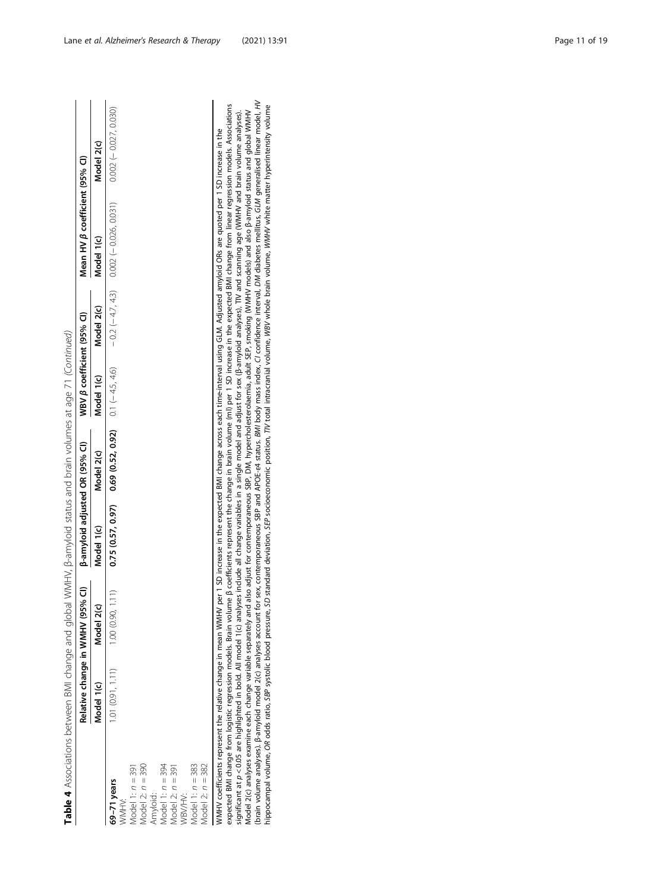|                    |                  | Relative change in WMHV (95% CI)                                                                                                                                                                                      | <b>B-amyloid adjusted OR (95% CI)</b> |                                                        | WBV B coefficient (95% CI) |            | Mean HV ß coefficient (95% CI)                                                                                                                                                                                                                                                                                                                                                                                                 |                         |
|--------------------|------------------|-----------------------------------------------------------------------------------------------------------------------------------------------------------------------------------------------------------------------|---------------------------------------|--------------------------------------------------------|----------------------------|------------|--------------------------------------------------------------------------------------------------------------------------------------------------------------------------------------------------------------------------------------------------------------------------------------------------------------------------------------------------------------------------------------------------------------------------------|-------------------------|
|                    | Model 1(c)       | Model 2(c)                                                                                                                                                                                                            | Model 1(c)                            | Model 2(c)                                             | Model 1(c)                 | Model 2(c) | Model 1(c)                                                                                                                                                                                                                                                                                                                                                                                                                     | Model 2(c)              |
| $69-71$ years      | 1.01(0.91, 1.11) | 1.00(0.90, 1.11)                                                                                                                                                                                                      |                                       | $0.75(0.57, 0.97)$ $0.69(0.52, 0.92)$ $0.1(+4.5, 4.6)$ |                            |            | $-0.2(-4.7, 4.3)$ 0.002 ( $-0.026, 0.031$ )                                                                                                                                                                                                                                                                                                                                                                                    | $0.002 (-0.027, 0.030)$ |
| NNHV:<br>NNHV:     |                  |                                                                                                                                                                                                                       |                                       |                                                        |                            |            |                                                                                                                                                                                                                                                                                                                                                                                                                                |                         |
| Model 1: $n = 391$ |                  |                                                                                                                                                                                                                       |                                       |                                                        |                            |            |                                                                                                                                                                                                                                                                                                                                                                                                                                |                         |
| Model $2: n = 390$ |                  |                                                                                                                                                                                                                       |                                       |                                                        |                            |            |                                                                                                                                                                                                                                                                                                                                                                                                                                |                         |
| Amyloid:           |                  |                                                                                                                                                                                                                       |                                       |                                                        |                            |            |                                                                                                                                                                                                                                                                                                                                                                                                                                |                         |
| Model 1: $n = 394$ |                  |                                                                                                                                                                                                                       |                                       |                                                        |                            |            |                                                                                                                                                                                                                                                                                                                                                                                                                                |                         |
| Model $2: n = 391$ |                  |                                                                                                                                                                                                                       |                                       |                                                        |                            |            |                                                                                                                                                                                                                                                                                                                                                                                                                                |                         |
| <b>MBV/HV:</b>     |                  |                                                                                                                                                                                                                       |                                       |                                                        |                            |            |                                                                                                                                                                                                                                                                                                                                                                                                                                |                         |
| Model 1: $n = 383$ |                  |                                                                                                                                                                                                                       |                                       |                                                        |                            |            |                                                                                                                                                                                                                                                                                                                                                                                                                                |                         |
| Model $2: n = 382$ |                  |                                                                                                                                                                                                                       |                                       |                                                        |                            |            |                                                                                                                                                                                                                                                                                                                                                                                                                                |                         |
|                    |                  |                                                                                                                                                                                                                       |                                       |                                                        |                            |            | expected BMI change from logistic regression models. Brain volume β coefficients represent the change in brain volume (ml) per 1 SD increase in the expected BMI change from linear regression models. Associations<br>WMHV coefficients represent the relative change in mean WMHV per 1 SD increase in the expected BMI change across each time-interval using GLM. Adjusted amyloid ORs are quoted per 1 SD increase in the |                         |
|                    |                  | significant at p<0.05 are highlighted in bold. All model 1(c) analyses include all change variables in a single model and adjust for sex (β-amyloid analyses), TIV and scanning age (WMHV and brain volume analyses). |                                       |                                                        |                            |            |                                                                                                                                                                                                                                                                                                                                                                                                                                |                         |

Model 2(c) analyses examine each change variable separately and also adjust for contemporaneous SBP, DM, hypercholesterolaemia, adult SEP, smoking (WMHV models) and also β-amyloid status and global WMHV (brain volume analyses). β-amyloid model 2(c) analyses account for sex, contemporaneous SBP and APOE-ε4 status. BMI body mass index, CI confidence interval, DM diabetes mellitus, GLM generalised linear model, HV hippocampal volume, OR odds ratio, SBP systolic blood pressure, SD standard deviation, SEP socioeconomic position, TIV total intracranial volume, WBV whole brain volume, WMHV white matter hyperintensity volume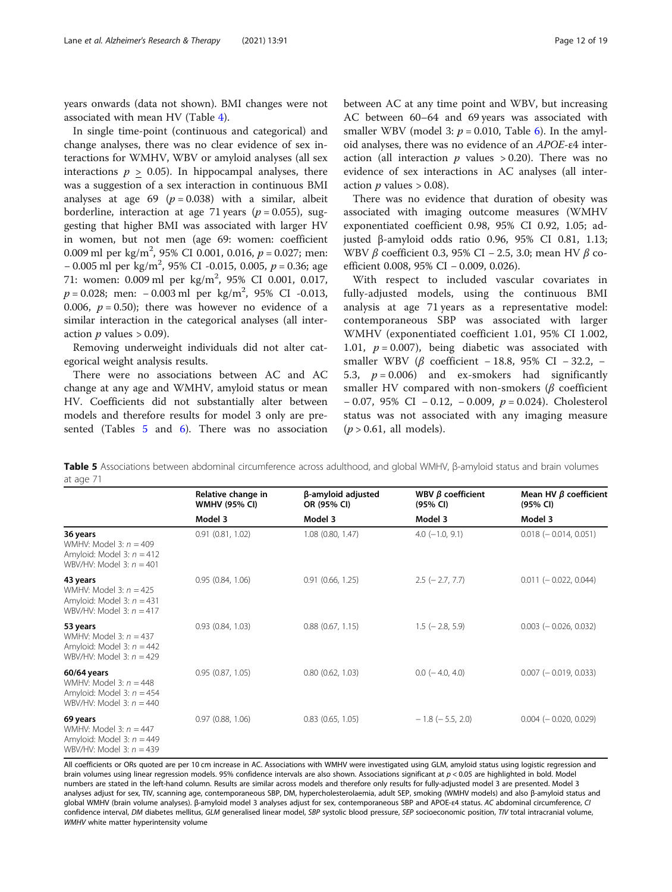years onwards (data not shown). BMI changes were not associated with mean HV (Table [4](#page-9-0)).

In single time-point (continuous and categorical) and change analyses, there was no clear evidence of sex interactions for WMHV, WBV or amyloid analyses (all sex interactions  $p > 0.05$ ). In hippocampal analyses, there was a suggestion of a sex interaction in continuous BMI analyses at age 69 ( $p = 0.038$ ) with a similar, albeit borderline, interaction at age 71 years ( $p = 0.055$ ), suggesting that higher BMI was associated with larger HV in women, but not men (age 69: women: coefficient 0.009 ml per kg/m<sup>2</sup>, 95% CI 0.001, 0.016,  $p = 0.027$ ; men: − 0.005 ml per kg/m<sup>2</sup>, 95% CI -0.015, 0.005, p = 0.36; age 71: women: 0.009 ml per kg/m<sup>2</sup>, 95% CI 0.001, 0.017,  $p = 0.028$ ; men:  $-0.003$  ml per kg/m<sup>2</sup>, 95% CI -0.013, 0.006,  $p = 0.50$ ); there was however no evidence of a similar interaction in the categorical analyses (all interaction  $p$  values  $> 0.09$ ).

Removing underweight individuals did not alter categorical weight analysis results.

There were no associations between AC and AC change at any age and WMHV, amyloid status or mean HV. Coefficients did not substantially alter between models and therefore results for model 3 only are pre-sented (Tables 5 and [6](#page-12-0)). There was no association

between AC at any time point and WBV, but increasing AC between 60–64 and 69 years was associated with smaller WBV (model 3:  $p = 0.010$ , Table [6\)](#page-12-0). In the amyloid analyses, there was no evidence of an APOE-ε4 interaction (all interaction  $p$  values  $> 0.20$ ). There was no evidence of sex interactions in AC analyses (all interaction  $p$  values  $> 0.08$ ).

There was no evidence that duration of obesity was associated with imaging outcome measures (WMHV exponentiated coefficient 0.98, 95% CI 0.92, 1.05; adjusted β-amyloid odds ratio 0.96, 95% CI 0.81, 1.13; WBV β coefficient 0.3, 95% CI – 2.5, 3.0; mean HV β coefficient 0.008, 95% CI − 0.009, 0.026).

With respect to included vascular covariates in fully-adjusted models, using the continuous BMI analysis at age 71 years as a representative model: contemporaneous SBP was associated with larger WMHV (exponentiated coefficient 1.01, 95% CI 1.002, 1.01,  $p = 0.007$ , being diabetic was associated with smaller WBV ( $\beta$  coefficient − 18.8, 95% CI − 32.2, − 5.3,  $p = 0.006$ ) and ex-smokers had significantly smaller HV compared with non-smokers ( $\beta$  coefficient − 0.07, 95% CI − 0.12, − 0.009, p = 0.024). Cholesterol status was not associated with any imaging measure  $(p > 0.61,$  all models).

Table 5 Associations between abdominal circumference across adulthood, and global WMHV, β-amyloid status and brain volumes at age 71

|                                                                                                      | Relative change in<br><b>WMHV (95% CI)</b> | β-amyloid adjusted<br>OR (95% CI) | WBV $\beta$ coefficient<br>(95% CI) | Mean HV $\beta$ coefficient<br>(95% CI) |
|------------------------------------------------------------------------------------------------------|--------------------------------------------|-----------------------------------|-------------------------------------|-----------------------------------------|
|                                                                                                      | Model 3                                    | Model 3                           | Model 3                             | Model 3                                 |
| 36 years<br>WMHV: Model 3: $n = 409$<br>Amyloid: Model 3: $n = 412$<br>WBV/HV: Model 3: $n = 401$    | 0.91(0.81, 1.02)                           | $1.08$ (0.80, 1.47)               | $4.0$ ( $-1.0$ , $9.1$ )            | $0.018 (-0.014, 0.051)$                 |
| 43 years<br>WMHV: Model 3: $n = 425$<br>Amyloid: Model 3: $n = 431$<br>WBV/HV: Model 3: $n = 417$    | 0.95(0.84, 1.06)                           | $0.91$ $(0.66, 1.25)$             | $2.5$ ( $-2.7, 7.7$ )               | $0.011 (-0.022, 0.044)$                 |
| 53 years<br>WMHV: Model 3: $n = 437$<br>Amyloid: Model 3: $n = 442$<br>WBV/HV: Model 3: $n = 429$    | 0.93(0.84, 1.03)                           | $0.88$ $(0.67, 1.15)$             | $1.5$ ( $-2.8$ , 5.9)               | $0.003$ (- 0.026, 0.032)                |
| 60/64 years<br>WMHV: Model 3: $n = 448$<br>Amyloid: Model 3: $n = 454$<br>WBV/HV: Model 3: $n = 440$ | 0.95(0.87, 1.05)                           | $0.80$ $(0.62, 1.03)$             | $0.0$ ( $-4.0$ , 4.0)               | $0.007$ (- 0.019, 0.033)                |
| 69 years<br>WMHV: Model 3: $n = 447$<br>Amyloid: Model 3: $n = 449$<br>WBV/HV: Model 3: $n = 439$    | $0.97$ $(0.88, 1.06)$                      | $0.83$ $(0.65, 1.05)$             | $-1.8$ ( $-5.5$ , 2.0)              | $0.004$ ( $-0.020$ , 0.029)             |

All coefficients or ORs quoted are per 10 cm increase in AC. Associations with WMHV were investigated using GLM, amyloid status using logistic regression and brain volumes using linear regression models. 95% confidence intervals are also shown. Associations significant at  $p < 0.05$  are highlighted in bold. Model numbers are stated in the left-hand column. Results are similar across models and therefore only results for fully-adjusted model 3 are presented. Model 3 analyses adjust for sex, TIV, scanning age, contemporaneous SBP, DM, hypercholesterolaemia, adult SEP, smoking (WMHV models) and also β-amyloid status and global WMHV (brain volume analyses). β-amyloid model 3 analyses adjust for sex, contemporaneous SBP and APOE-ε4 status. AC abdominal circumference, CI confidence interval, DM diabetes mellitus, GLM generalised linear model, SBP systolic blood pressure, SEP socioeconomic position, TIV total intracranial volume, WMHV white matter hyperintensity volume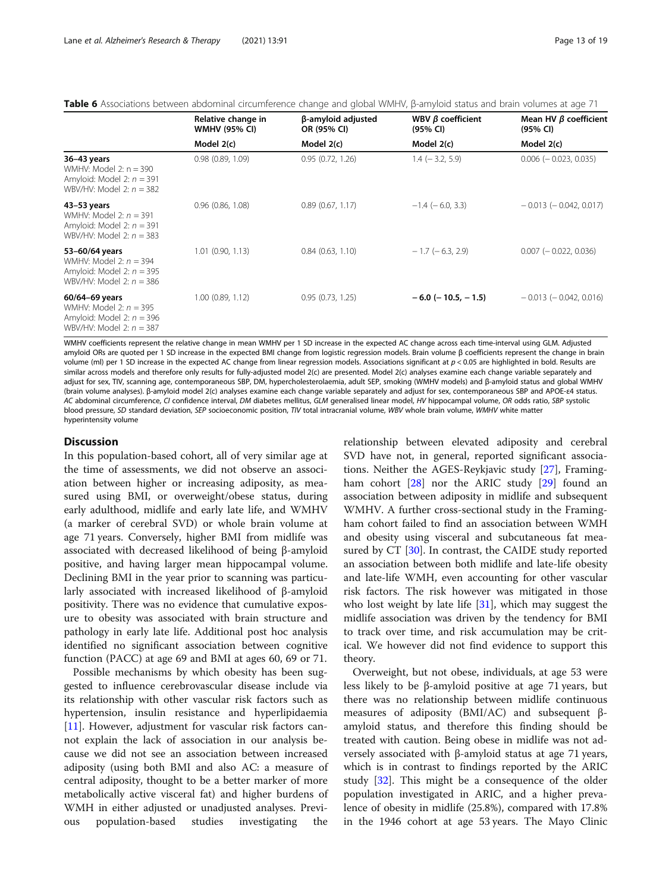<span id="page-12-0"></span>Table 6 Associations between abdominal circumference change and global WMHV, β-amyloid status and brain volumes at age 71

|                                                                                                         | Relative change in<br><b>WMHV (95% CI)</b> | β-amyloid adjusted<br>OR (95% CI) | WBV $\beta$ coefficient<br>(95% CI) | Mean HV $\beta$ coefficient<br>(95% CI) |
|---------------------------------------------------------------------------------------------------------|--------------------------------------------|-----------------------------------|-------------------------------------|-----------------------------------------|
|                                                                                                         | Model 2(c)                                 | Model 2(c)                        | Model 2(c)                          | Model 2(c)                              |
| 36-43 years<br>WMHV: Model 2: $n = 390$<br>Amyloid: Model 2: $n = 391$<br>WBV/HV: Model 2: $n = 382$    | 0.98(0.89, 1.09)                           | 0.95(0.72, 1.26)                  | $1.4$ ( $-3.2$ , 5.9)               | $0.006$ ( $-0.023$ , 0.035)             |
| 43-53 years<br>WMHV: Model 2: $n = 391$<br>Amyloid: Model 2: $n = 391$<br>WBV/HV: Model 2: $n = 383$    | $0.96$ $(0.86, 1.08)$                      | 0.89(0.67, 1.17)                  | $-1.4$ ( $-6.0, 3.3$ )              | $-0.013$ ( $-0.042$ , 0.017)            |
| 53-60/64 years<br>WMHV: Model 2: $n = 394$<br>Amyloid: Model 2: $n = 395$<br>WBV/HV: Model 2: $n = 386$ | $1.01$ $(0.90, 1.13)$                      | 0.84(0.63, 1.10)                  | $-1.7$ ( $-6.3$ , 2.9)              | $0.007$ ( $-0.022$ , 0.036)             |
| 60/64-69 years<br>WMHV: Model 2: $n = 395$<br>Amyloid: Model 2: $n = 396$<br>WBV/HV: Model 2: $n = 387$ | $1.00$ (0.89, 1.12)                        | 0.95(0.73, 1.25)                  | $-6.0$ ( $-10.5$ , $-1.5$ )         | $-0.013$ ( $-0.042$ , 0.016)            |

WMHV coefficients represent the relative change in mean WMHV per 1 SD increase in the expected AC change across each time-interval using GLM. Adjusted amyloid ORs are quoted per 1 SD increase in the expected BMI change from logistic regression models. Brain volume β coefficients represent the change in brain volume (ml) per 1 SD increase in the expected AC change from linear regression models. Associations significant at  $p < 0.05$  are highlighted in bold. Results are similar across models and therefore only results for fully-adjusted model 2(c) are presented. Model 2(c) analyses examine each change variable separately and adjust for sex, TIV, scanning age, contemporaneous SBP, DM, hypercholesterolaemia, adult SEP, smoking (WMHV models) and β-amyloid status and global WMHV (brain volume analyses). β-amyloid model 2(c) analyses examine each change variable separately and adjust for sex, contemporaneous SBP and APOE-ε4 status. AC abdominal circumference, CI confidence interval, DM diabetes mellitus, GLM generalised linear model, HV hippocampal volume, OR odds ratio, SBP systolic blood pressure, SD standard deviation, SEP socioeconomic position, TIV total intracranial volume, WBV whole brain volume, WMHV white matter hyperintensity volume

#### **Discussion**

In this population-based cohort, all of very similar age at the time of assessments, we did not observe an association between higher or increasing adiposity, as measured using BMI, or overweight/obese status, during early adulthood, midlife and early late life, and WMHV (a marker of cerebral SVD) or whole brain volume at age 71 years. Conversely, higher BMI from midlife was associated with decreased likelihood of being β-amyloid positive, and having larger mean hippocampal volume. Declining BMI in the year prior to scanning was particularly associated with increased likelihood of β-amyloid positivity. There was no evidence that cumulative exposure to obesity was associated with brain structure and pathology in early late life. Additional post hoc analysis identified no significant association between cognitive function (PACC) at age 69 and BMI at ages 60, 69 or 71.

Possible mechanisms by which obesity has been suggested to influence cerebrovascular disease include via its relationship with other vascular risk factors such as hypertension, insulin resistance and hyperlipidaemia [[11\]](#page-17-0). However, adjustment for vascular risk factors cannot explain the lack of association in our analysis because we did not see an association between increased adiposity (using both BMI and also AC: a measure of central adiposity, thought to be a better marker of more metabolically active visceral fat) and higher burdens of WMH in either adjusted or unadjusted analyses. Previous population-based studies investigating the

relationship between elevated adiposity and cerebral SVD have not, in general, reported significant associations. Neither the AGES-Reykjavic study [[27\]](#page-17-0), Framingham cohort  $[28]$  $[28]$  nor the ARIC study  $[29]$  $[29]$  found an association between adiposity in midlife and subsequent WMHV. A further cross-sectional study in the Framingham cohort failed to find an association between WMH and obesity using visceral and subcutaneous fat mea-sured by CT [\[30\]](#page-17-0). In contrast, the CAIDE study reported an association between both midlife and late-life obesity and late-life WMH, even accounting for other vascular risk factors. The risk however was mitigated in those who lost weight by late life  $[31]$  $[31]$ , which may suggest the midlife association was driven by the tendency for BMI to track over time, and risk accumulation may be critical. We however did not find evidence to support this theory.

Overweight, but not obese, individuals, at age 53 were less likely to be β-amyloid positive at age 71 years, but there was no relationship between midlife continuous measures of adiposity (BMI/AC) and subsequent βamyloid status, and therefore this finding should be treated with caution. Being obese in midlife was not adversely associated with β-amyloid status at age 71 years, which is in contrast to findings reported by the ARIC study [[32](#page-17-0)]. This might be a consequence of the older population investigated in ARIC, and a higher prevalence of obesity in midlife (25.8%), compared with 17.8% in the 1946 cohort at age 53 years. The Mayo Clinic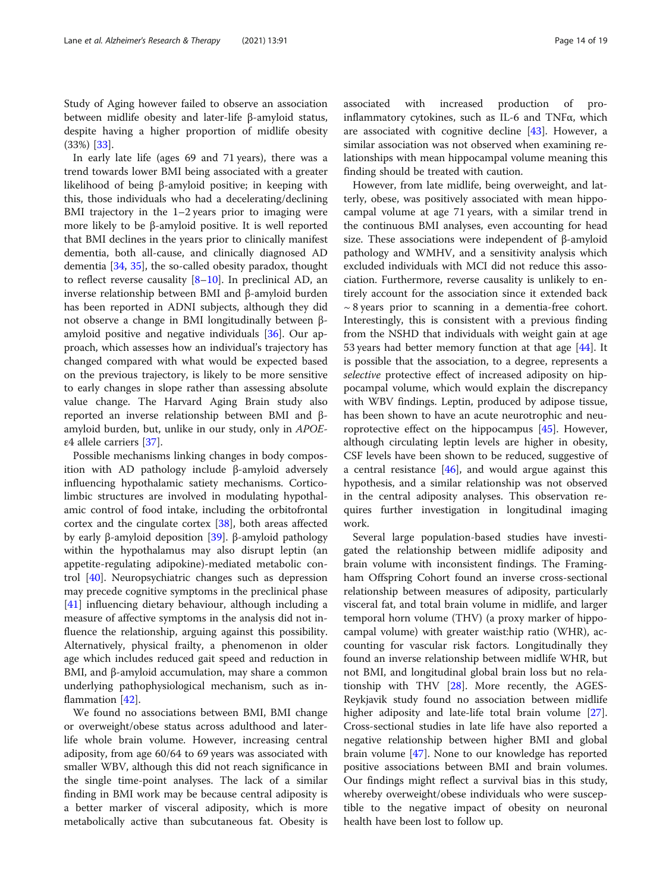Study of Aging however failed to observe an association between midlife obesity and later-life β-amyloid status, despite having a higher proportion of midlife obesity (33%) [[33\]](#page-17-0).

In early late life (ages 69 and 71 years), there was a trend towards lower BMI being associated with a greater likelihood of being β-amyloid positive; in keeping with this, those individuals who had a decelerating/declining BMI trajectory in the  $1-2$  years prior to imaging were more likely to be β-amyloid positive. It is well reported that BMI declines in the years prior to clinically manifest dementia, both all-cause, and clinically diagnosed AD dementia [[34](#page-17-0), [35](#page-17-0)], the so-called obesity paradox, thought to reflect reverse causality  $[8-10]$  $[8-10]$  $[8-10]$  $[8-10]$  $[8-10]$ . In preclinical AD, an inverse relationship between BMI and β-amyloid burden has been reported in ADNI subjects, although they did not observe a change in BMI longitudinally between βamyloid positive and negative individuals [\[36](#page-17-0)]. Our approach, which assesses how an individual's trajectory has changed compared with what would be expected based on the previous trajectory, is likely to be more sensitive to early changes in slope rather than assessing absolute value change. The Harvard Aging Brain study also reported an inverse relationship between BMI and βamyloid burden, but, unlike in our study, only in APOEε4 allele carriers [\[37\]](#page-17-0).

Possible mechanisms linking changes in body composition with AD pathology include β-amyloid adversely influencing hypothalamic satiety mechanisms. Corticolimbic structures are involved in modulating hypothalamic control of food intake, including the orbitofrontal cortex and the cingulate cortex [[38](#page-17-0)], both areas affected by early β-amyloid deposition [\[39\]](#page-17-0). β-amyloid pathology within the hypothalamus may also disrupt leptin (an appetite-regulating adipokine)-mediated metabolic control [\[40\]](#page-17-0). Neuropsychiatric changes such as depression may precede cognitive symptoms in the preclinical phase [[41\]](#page-17-0) influencing dietary behaviour, although including a measure of affective symptoms in the analysis did not influence the relationship, arguing against this possibility. Alternatively, physical frailty, a phenomenon in older age which includes reduced gait speed and reduction in BMI, and β-amyloid accumulation, may share a common underlying pathophysiological mechanism, such as inflammation [[42](#page-18-0)].

We found no associations between BMI, BMI change or overweight/obese status across adulthood and laterlife whole brain volume. However, increasing central adiposity, from age 60/64 to 69 years was associated with smaller WBV, although this did not reach significance in the single time-point analyses. The lack of a similar finding in BMI work may be because central adiposity is a better marker of visceral adiposity, which is more metabolically active than subcutaneous fat. Obesity is

associated with increased production of proinflammatory cytokines, such as IL-6 and TNFα, which are associated with cognitive decline [\[43](#page-18-0)]. However, a similar association was not observed when examining relationships with mean hippocampal volume meaning this finding should be treated with caution.

However, from late midlife, being overweight, and latterly, obese, was positively associated with mean hippocampal volume at age 71 years, with a similar trend in the continuous BMI analyses, even accounting for head size. These associations were independent of β-amyloid pathology and WMHV, and a sensitivity analysis which excluded individuals with MCI did not reduce this association. Furthermore, reverse causality is unlikely to entirely account for the association since it extended back  $\sim$  8 years prior to scanning in a dementia-free cohort. Interestingly, this is consistent with a previous finding from the NSHD that individuals with weight gain at age 53 years had better memory function at that age  $[44]$  $[44]$ . It is possible that the association, to a degree, represents a selective protective effect of increased adiposity on hippocampal volume, which would explain the discrepancy with WBV findings. Leptin, produced by adipose tissue, has been shown to have an acute neurotrophic and neuroprotective effect on the hippocampus [\[45](#page-18-0)]. However, although circulating leptin levels are higher in obesity, CSF levels have been shown to be reduced, suggestive of a central resistance  $[46]$  $[46]$ , and would argue against this hypothesis, and a similar relationship was not observed in the central adiposity analyses. This observation requires further investigation in longitudinal imaging work.

Several large population-based studies have investigated the relationship between midlife adiposity and brain volume with inconsistent findings. The Framingham Offspring Cohort found an inverse cross-sectional relationship between measures of adiposity, particularly visceral fat, and total brain volume in midlife, and larger temporal horn volume (THV) (a proxy marker of hippocampal volume) with greater waist:hip ratio (WHR), accounting for vascular risk factors. Longitudinally they found an inverse relationship between midlife WHR, but not BMI, and longitudinal global brain loss but no relationship with THV [\[28](#page-17-0)]. More recently, the AGES-Reykjavik study found no association between midlife higher adiposity and late-life total brain volume [\[27](#page-17-0)]. Cross-sectional studies in late life have also reported a negative relationship between higher BMI and global brain volume [[47\]](#page-18-0). None to our knowledge has reported positive associations between BMI and brain volumes. Our findings might reflect a survival bias in this study, whereby overweight/obese individuals who were susceptible to the negative impact of obesity on neuronal health have been lost to follow up.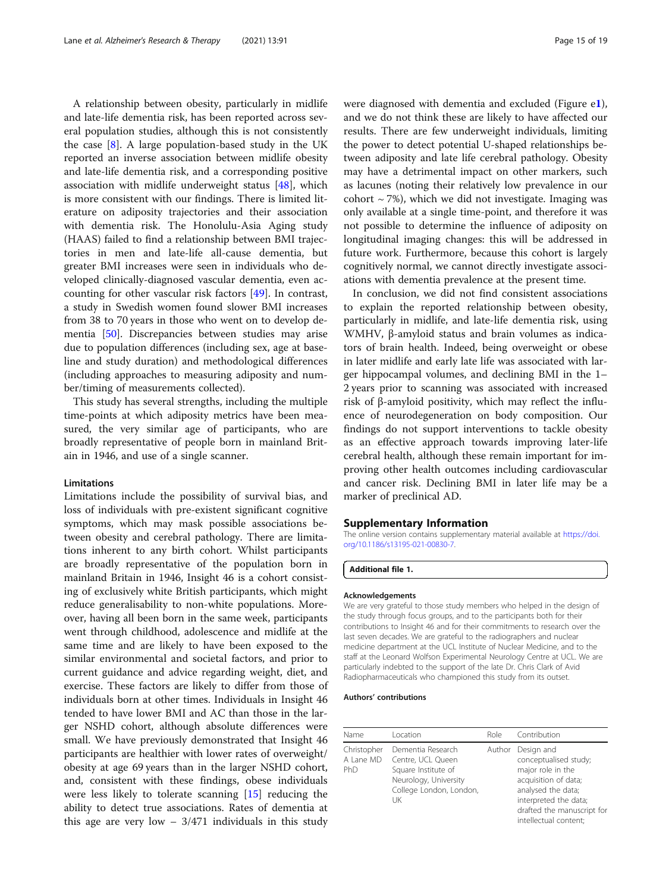<span id="page-14-0"></span>A relationship between obesity, particularly in midlife and late-life dementia risk, has been reported across several population studies, although this is not consistently the case  $[8]$  $[8]$ . A large population-based study in the UK reported an inverse association between midlife obesity and late-life dementia risk, and a corresponding positive association with midlife underweight status [[48\]](#page-18-0), which is more consistent with our findings. There is limited literature on adiposity trajectories and their association with dementia risk. The Honolulu-Asia Aging study (HAAS) failed to find a relationship between BMI trajectories in men and late-life all-cause dementia, but greater BMI increases were seen in individuals who developed clinically-diagnosed vascular dementia, even accounting for other vascular risk factors [[49\]](#page-18-0). In contrast, a study in Swedish women found slower BMI increases from 38 to 70 years in those who went on to develop dementia [[50](#page-18-0)]. Discrepancies between studies may arise due to population differences (including sex, age at baseline and study duration) and methodological differences (including approaches to measuring adiposity and number/timing of measurements collected).

This study has several strengths, including the multiple time-points at which adiposity metrics have been measured, the very similar age of participants, who are broadly representative of people born in mainland Britain in 1946, and use of a single scanner.

#### Limitations

Limitations include the possibility of survival bias, and loss of individuals with pre-existent significant cognitive symptoms, which may mask possible associations between obesity and cerebral pathology. There are limitations inherent to any birth cohort. Whilst participants are broadly representative of the population born in mainland Britain in 1946, Insight 46 is a cohort consisting of exclusively white British participants, which might reduce generalisability to non-white populations. Moreover, having all been born in the same week, participants went through childhood, adolescence and midlife at the same time and are likely to have been exposed to the similar environmental and societal factors, and prior to current guidance and advice regarding weight, diet, and exercise. These factors are likely to differ from those of individuals born at other times. Individuals in Insight 46 tended to have lower BMI and AC than those in the larger NSHD cohort, although absolute differences were small. We have previously demonstrated that Insight 46 participants are healthier with lower rates of overweight/ obesity at age 69 years than in the larger NSHD cohort, and, consistent with these findings, obese individuals were less likely to tolerate scanning [\[15](#page-17-0)] reducing the ability to detect true associations. Rates of dementia at this age are very low  $-3/471$  individuals in this study were diagnosed with dementia and excluded (Figure e1), and we do not think these are likely to have affected our results. There are few underweight individuals, limiting the power to detect potential U-shaped relationships between adiposity and late life cerebral pathology. Obesity may have a detrimental impact on other markers, such as lacunes (noting their relatively low prevalence in our cohort  $\sim$  7%), which we did not investigate. Imaging was only available at a single time-point, and therefore it was not possible to determine the influence of adiposity on longitudinal imaging changes: this will be addressed in future work. Furthermore, because this cohort is largely cognitively normal, we cannot directly investigate associations with dementia prevalence at the present time.

In conclusion, we did not find consistent associations to explain the reported relationship between obesity, particularly in midlife, and late-life dementia risk, using WMHV, β-amyloid status and brain volumes as indicators of brain health. Indeed, being overweight or obese in later midlife and early late life was associated with larger hippocampal volumes, and declining BMI in the 1– 2 years prior to scanning was associated with increased risk of β-amyloid positivity, which may reflect the influence of neurodegeneration on body composition. Our findings do not support interventions to tackle obesity as an effective approach towards improving later-life cerebral health, although these remain important for improving other health outcomes including cardiovascular and cancer risk. Declining BMI in later life may be a marker of preclinical AD.

#### Supplementary Information

The online version contains supplementary material available at [https://doi.](https://doi.org/10.1186/s13195-021-00830-7) [org/10.1186/s13195-021-00830-7.](https://doi.org/10.1186/s13195-021-00830-7)

#### Additional file 1.

#### Acknowledgements

We are very grateful to those study members who helped in the design of the study through focus groups, and to the participants both for their contributions to Insight 46 and for their commitments to research over the last seven decades. We are grateful to the radiographers and nuclear medicine department at the UCL Institute of Nuclear Medicine, and to the staff at the Leonard Wolfson Experimental Neurology Centre at UCL. We are particularly indebted to the support of the late Dr. Chris Clark of Avid Radiopharmaceuticals who championed this study from its outset.

#### Authors' contributions

| Name                            | l ocation                                                                                                               | <b>Role</b> | Contribution                                                                                                                                                                                  |
|---------------------------------|-------------------------------------------------------------------------------------------------------------------------|-------------|-----------------------------------------------------------------------------------------------------------------------------------------------------------------------------------------------|
| Christopher<br>A Lane MD<br>PhD | Dementia Research<br>Centre, UCL Queen<br>Square Institute of<br>Neurology, University<br>College London, London,<br>UK |             | Author Design and<br>conceptualised study;<br>major role in the<br>acquisition of data;<br>analysed the data;<br>interpreted the data;<br>drafted the manuscript for<br>intellectual content; |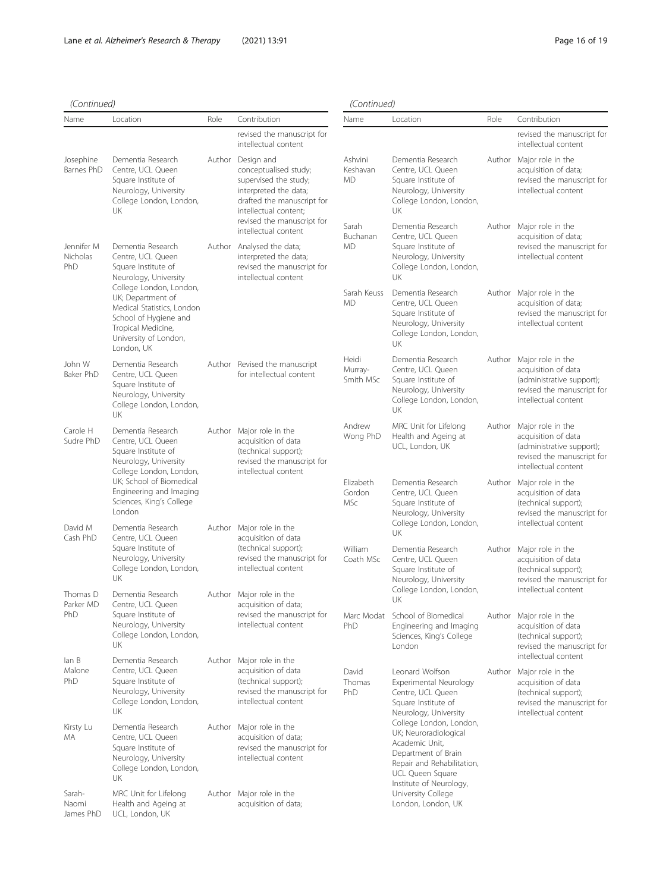# (Continued)

| (Continued)                   |                                                                                                                                                                                                                                                            |      | (Continued)                                                                                                                                                                       |                                   |                                                                                                                                                                                                                                   |      |                                                                                                                                    |
|-------------------------------|------------------------------------------------------------------------------------------------------------------------------------------------------------------------------------------------------------------------------------------------------------|------|-----------------------------------------------------------------------------------------------------------------------------------------------------------------------------------|-----------------------------------|-----------------------------------------------------------------------------------------------------------------------------------------------------------------------------------------------------------------------------------|------|------------------------------------------------------------------------------------------------------------------------------------|
| Name                          | Location                                                                                                                                                                                                                                                   | Role | Contribution                                                                                                                                                                      | Name                              | Location                                                                                                                                                                                                                          | Role | Contribution                                                                                                                       |
|                               |                                                                                                                                                                                                                                                            |      | revised the manuscript for<br>intellectual content                                                                                                                                |                                   |                                                                                                                                                                                                                                   |      | revised the manuscript for<br>intellectual content                                                                                 |
| Josephine<br>Barnes PhD       | Dementia Research<br>Centre, UCL Queen<br>Square Institute of<br>Neurology, University<br>College London, London,<br>UK                                                                                                                                    |      | Author Design and<br>conceptualised study;<br>supervised the study;<br>interpreted the data;<br>drafted the manuscript for<br>intellectual content;<br>revised the manuscript for | Ashvini<br>Keshavan<br><b>MD</b>  | Dementia Research<br>Centre, UCL Queen<br>Square Institute of<br>Neurology, University<br>College London, London,<br>UK                                                                                                           |      | Author Major role in the<br>acquisition of data;<br>revised the manuscript for<br>intellectual content                             |
| Jennifer M<br>Nicholas<br>PhD | Dementia Research<br>Centre, UCL Queen<br>Square Institute of<br>Neurology, University<br>College London, London,<br>UK; Department of<br>Medical Statistics, London<br>School of Hygiene and<br>Tropical Medicine,<br>University of London,<br>London, UK |      | intellectual content<br>Author Analysed the data;<br>interpreted the data;<br>revised the manuscript for<br>intellectual content                                                  | Sarah<br>Buchanan<br><b>MD</b>    | Dementia Research<br>Centre, UCL Queen<br>Square Institute of<br>Neurology, University<br>College London, London,<br>UK                                                                                                           |      | Author Major role in the<br>acquisition of data;<br>revised the manuscript for<br>intellectual content                             |
|                               |                                                                                                                                                                                                                                                            |      |                                                                                                                                                                                   | Sarah Keuss<br>MD                 | Dementia Research<br>Centre, UCL Queen<br>Square Institute of<br>Neurology, University<br>College London, London,<br>UK                                                                                                           |      | Author Major role in the<br>acquisition of data;<br>revised the manuscript for<br>intellectual content                             |
| John W<br>Baker PhD           | Dementia Research<br>Centre, UCL Queen<br>Square Institute of<br>Neurology, University<br>College London, London,<br><b>UK</b>                                                                                                                             |      | Author Revised the manuscript<br>for intellectual content                                                                                                                         | Heidi<br>Murray-<br>Smith MSc     | Dementia Research<br>Centre, UCL Queen<br>Square Institute of<br>Neurology, University<br>College London, London,<br>UK                                                                                                           |      | Author Major role in the<br>acquisition of data<br>(administrative support);<br>revised the manuscript for<br>intellectual content |
| Carole H<br>Sudre PhD         | Dementia Research<br>Centre, UCL Queen<br>Square Institute of<br>Neurology, University<br>College London, London,<br>UK; School of Biomedical<br>Engineering and Imaging<br>Sciences, King's College<br>London                                             |      | Author Major role in the<br>acquisition of data<br>(technical support);<br>revised the manuscript for<br>intellectual content                                                     | Andrew<br>Wong PhD                | MRC Unit for Lifelong<br>Health and Ageing at<br>UCL, London, UK                                                                                                                                                                  |      | Author Major role in the<br>acquisition of data<br>(administrative support);<br>revised the manuscript for<br>intellectual content |
|                               |                                                                                                                                                                                                                                                            |      |                                                                                                                                                                                   | Elizabeth<br>Gordon<br><b>MSc</b> | Dementia Research<br>Centre, UCL Queen<br>Square Institute of<br>Neurology, University<br>College London, London,                                                                                                                 |      | Author Major role in the<br>acquisition of data<br>(technical support);<br>revised the manuscript for<br>intellectual content      |
| David M<br>Cash PhD           | Dementia Research<br>Centre, UCL Queen<br>Square Institute of<br>Neurology, University<br>College London, London,                                                                                                                                          |      | Author Major role in the<br>acquisition of data<br>(technical support);<br>revised the manuscript for<br>intellectual content                                                     | William<br>Coath MSc              | UK<br>Dementia Research<br>Centre, UCL Queen<br>Square Institute of<br>Neurology, University<br>College London, London,<br>UK<br>Marc Modat School of Biomedical<br>Engineering and Imaging<br>Sciences, King's College<br>London |      | Author Major role in the<br>acquisition of data<br>(technical support);                                                            |
| Thomas D<br>Parker MD         | UK<br>Dementia Research<br>Centre, UCL Queen                                                                                                                                                                                                               |      | Author Major role in the<br>acquisition of data;                                                                                                                                  |                                   |                                                                                                                                                                                                                                   |      | revised the manuscript for<br>intellectual content                                                                                 |
| PhD                           | Square Institute of<br>Neurology, University<br>College London, London,<br>UK                                                                                                                                                                              |      | revised the manuscript for<br>intellectual content                                                                                                                                | PhD                               |                                                                                                                                                                                                                                   |      | Author Major role in the<br>acquisition of data<br>(technical support);<br>revised the manuscript for<br>intellectual content      |
| lan B<br>Malone<br>PhD        | Dementia Research<br>Centre, UCL Queen<br>Square Institute of<br>Neurology, University<br>College London, London,<br>UK                                                                                                                                    |      | Author Major role in the<br>acquisition of data<br>(technical support);<br>revised the manuscript for<br>intellectual content                                                     | David<br>Thomas<br>PhD            | Leonard Wolfson<br>Experimental Neurology<br>Centre, UCL Queen<br>Square Institute of<br>Neurology, University                                                                                                                    |      | Author Major role in the<br>acquisition of data<br>(technical support);<br>revised the manuscript for<br>intellectual content      |
| Kirsty Lu<br>МA               | Dementia Research<br>Centre, UCL Queen<br>Square Institute of<br>Neurology, University<br>College London, London,<br>UK                                                                                                                                    |      | Author Major role in the<br>acquisition of data;<br>revised the manuscript for<br>intellectual content                                                                            |                                   | College London, London,<br>UK; Neuroradiological<br>Academic Unit,<br>Department of Brain<br>Repair and Rehabilitation,<br>UCL Queen Square<br>Institute of Neurology,                                                            |      |                                                                                                                                    |
| Sarah-<br>Naomi<br>James PhD  | MRC Unit for Lifelong<br>Health and Ageing at<br>UCL, London, UK                                                                                                                                                                                           |      | Author Major role in the<br>acquisition of data;                                                                                                                                  |                                   | University College<br>London, London, UK                                                                                                                                                                                          |      |                                                                                                                                    |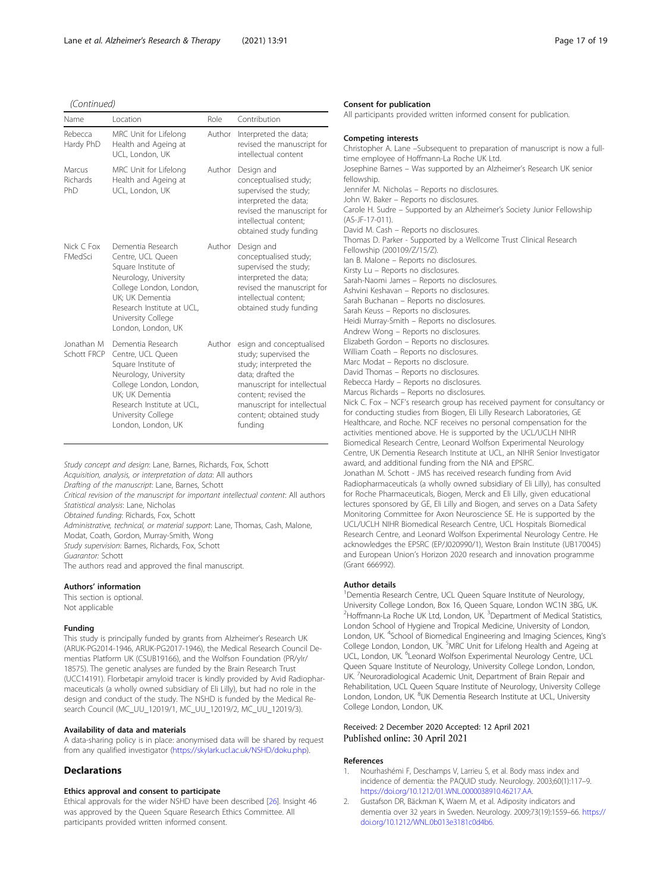<span id="page-16-0"></span>(Continued)

| Name                         | Location                                                                                                                                                                                                       | Role   | Contribution                                                                                                                                                                                                                 |
|------------------------------|----------------------------------------------------------------------------------------------------------------------------------------------------------------------------------------------------------------|--------|------------------------------------------------------------------------------------------------------------------------------------------------------------------------------------------------------------------------------|
| Rebecca<br>Hardy PhD         | MRC Unit for Lifelong<br>Health and Ageing at<br>UCL, London, UK                                                                                                                                               | Author | Interpreted the data;<br>revised the manuscript for<br>intellectual content                                                                                                                                                  |
| Marcus<br>Richards<br>PhD    | MRC Unit for Lifelong<br>Health and Ageing at<br>UCL, London, UK                                                                                                                                               | Author | Design and<br>conceptualised study;<br>supervised the study;<br>interpreted the data;<br>revised the manuscript for<br>intellectual content:<br>obtained study funding                                                       |
| Nick C Fox<br><b>FMedSci</b> | Dementia Research<br>Centre, UCL Queen<br>Square Institute of<br>Neurology, University<br>College London, London,<br>UK; UK Dementia<br>Research Institute at UCL.<br>University College<br>London, London, UK | Author | Design and<br>conceptualised study;<br>supervised the study;<br>interpreted the data;<br>revised the manuscript for<br>intellectual content:<br>obtained study funding                                                       |
| Jonathan M<br>Schott FRCP    | Dementia Research<br>Centre, UCL Queen<br>Square Institute of<br>Neurology, University<br>College London, London,<br>UK; UK Dementia<br>Research Institute at UCL.<br>University College<br>London, London, UK | Author | esign and conceptualised<br>study; supervised the<br>study; interpreted the<br>data; drafted the<br>manuscript for intellectual<br>content: revised the<br>manuscript for intellectual<br>content; obtained study<br>fundina |

Study concept and design: Lane, Barnes, Richards, Fox, Schott Acquisition, analysis, or interpretation of data: All authors Drafting of the manuscript: Lane, Barnes, Schott Critical revision of the manuscript for important intellectual content: All authors Statistical analysis: Lane, Nicholas Obtained funding: Richards, Fox, Schott Administrative, technical, or material support: Lane, Thomas, Cash, Malone, Modat, Coath, Gordon, Murray-Smith, Wong Study supervision: Barnes, Richards, Fox, Schott Guarantor: Schott The authors read and approved the final manuscript.

#### Authors' information

This section is optional. Not applicable

#### Funding

This study is principally funded by grants from Alzheimer's Research UK (ARUK-PG2014-1946, ARUK-PG2017-1946), the Medical Research Council Dementias Platform UK (CSUB19166), and the Wolfson Foundation (PR/ylr/ 18575). The genetic analyses are funded by the Brain Research Trust (UCC14191). Florbetapir amyloid tracer is kindly provided by Avid Radiopharmaceuticals (a wholly owned subsidiary of Eli Lilly), but had no role in the design and conduct of the study. The NSHD is funded by the Medical Research Council (MC\_UU\_12019/1, MC\_UU\_12019/2, MC\_UU\_12019/3).

#### Availability of data and materials

A data-sharing policy is in place: anonymised data will be shared by request from any qualified investigator [\(https://skylark.ucl.ac.uk/NSHD/doku.php\)](https://skylark.ucl.ac.uk/NSHD/doku.php).

#### **Declarations**

#### Ethics approval and consent to participate

Ethical approvals for the wider NSHD have been described [\[26\]](#page-17-0). Insight 46 was approved by the Queen Square Research Ethics Committee. All participants provided written informed consent.

#### Consent for publication

All participants provided written informed consent for publication.

#### Competing interests

Christopher A. Lane –Subsequent to preparation of manuscript is now a fulltime employee of Hoffmann-La Roche UK Ltd. Josephine Barnes – Was supported by an Alzheimer's Research UK senior fellowship. Jennifer M. Nicholas – Reports no disclosures. John W. Baker – Reports no disclosures. Carole H. Sudre – Supported by an Alzheimer's Society Junior Fellowship (AS-JF-17-011). David M. Cash – Reports no disclosures. Thomas D. Parker - Supported by a Wellcome Trust Clinical Research Fellowship (200109/Z/15/Z). Ian B. Malone – Reports no disclosures. Kirsty Lu – Reports no disclosures. Sarah-Naomi James – Reports no disclosures. Ashvini Keshavan – Reports no disclosures. Sarah Buchanan – Reports no disclosures. Sarah Keuss – Reports no disclosures. Heidi Murray-Smith – Reports no disclosures. Andrew Wong – Reports no disclosures. Elizabeth Gordon – Reports no disclosures. William Coath – Reports no disclosures. Marc Modat – Reports no disclosure. David Thomas – Reports no disclosures. Rebecca Hardy – Reports no disclosures. Marcus Richards – Reports no disclosures. Nick C. Fox – NCF's research group has received payment for consultancy or for conducting studies from Biogen, Eli Lilly Research Laboratories, GE Healthcare, and Roche. NCF receives no personal compensation for the activities mentioned above. He is supported by the UCL/UCLH NIHR Biomedical Research Centre, Leonard Wolfson Experimental Neurology Centre, UK Dementia Research Institute at UCL, an NIHR Senior Investigator award, and additional funding from the NIA and EPSRC. Jonathan M. Schott - JMS has received research funding from Avid Radiopharmaceuticals (a wholly owned subsidiary of Eli Lilly), has consulted for Roche Pharmaceuticals, Biogen, Merck and Eli Lilly, given educational lectures sponsored by GE, Eli Lilly and Biogen, and serves on a Data Safety Monitoring Committee for Axon Neuroscience SE. He is supported by the UCL/UCLH NIHR Biomedical Research Centre, UCL Hospitals Biomedical Research Centre, and Leonard Wolfson Experimental Neurology Centre. He acknowledges the EPSRC (EP/J020990/1), Weston Brain Institute (UB170045) and European Union's Horizon 2020 research and innovation programme (Grant 666992).

#### Author details

<sup>1</sup> Dementia Research Centre, UCL Queen Square Institute of Neurology, University College London, Box 16, Queen Square, London WC1N 3BG, UK. <sup>2</sup>Hoffmann-La Roche UK Ltd, London, UK. <sup>3</sup>Department of Medical Statistics London School of Hygiene and Tropical Medicine, University of London, London, UK. <sup>4</sup>School of Biomedical Engineering and Imaging Sciences, King's College London, London, UK. <sup>5</sup>MRC Unit for Lifelong Health and Ageing at UCL, London, UK. <sup>6</sup>Leonard Wolfson Experimental Neurology Centre, UCL Queen Square Institute of Neurology, University College London, London, UK. <sup>7</sup>Neuroradiological Academic Unit, Department of Brain Repair and Rehabilitation, UCL Queen Square Institute of Neurology, University College London, London, UK. <sup>8</sup>UK Dementia Research Institute at UCL, University College London, London, UK.

#### Received: 2 December 2020 Accepted: 12 April 2021 Published online: 30 April 2021

#### References

- 1. Nourhashémi F, Deschamps V, Larrieu S, et al. Body mass index and incidence of dementia: the PAQUID study. Neurology. 2003;60(1):117–9. [https://doi.org/10.1212/01.WNL.0000038910.46217.AA.](https://doi.org/10.1212/01.WNL.0000038910.46217.AA)
- 2. Gustafson DR, Bäckman K, Waern M, et al. Adiposity indicators and dementia over 32 years in Sweden. Neurology. 2009;73(19):1559–66. [https://](https://doi.org/10.1212/WNL.0b013e3181c0d4b6) [doi.org/10.1212/WNL.0b013e3181c0d4b6.](https://doi.org/10.1212/WNL.0b013e3181c0d4b6)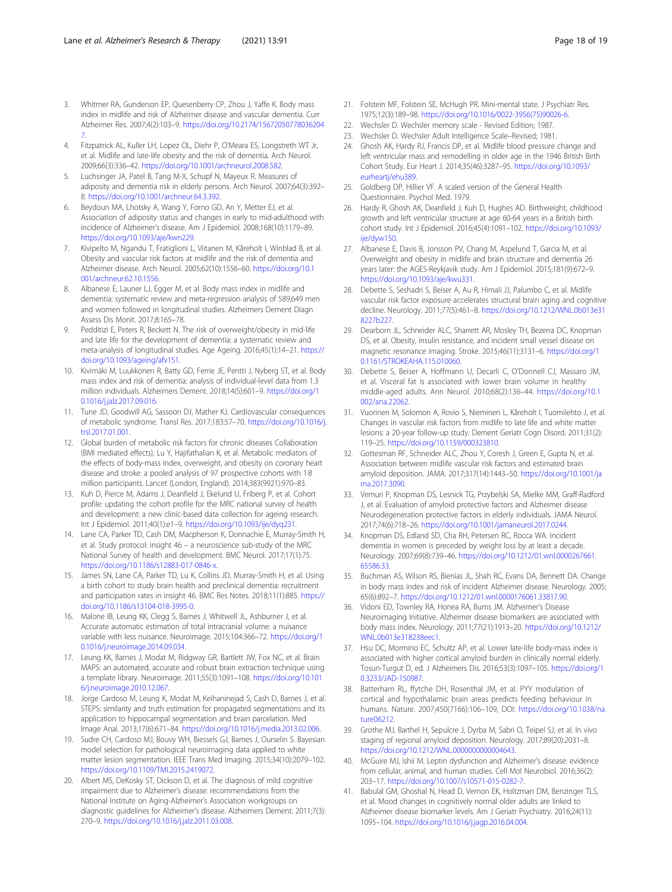- <span id="page-17-0"></span>3. Whitmer RA, Gunderson EP, Quesenberry CP, Zhou J, Yaffe K. Body mass index in midlife and risk of Alzheimer disease and vascular dementia. Curr Alzheimer Res. 2007;4(2):103–9. [https://doi.org/10.2174/15672050778036204](https://doi.org/10.2174/156720507780362047) [7](https://doi.org/10.2174/156720507780362047).
- 4. Fitzpatrick AL, Kuller LH, Lopez OL, Diehr P, O'Meara ES, Longstreth WT Jr, et al. Midlife and late-life obesity and the risk of dementia. Arch Neurol. 2009;66(3):336–42. [https://doi.org/10.1001/archneurol.2008.582.](https://doi.org/10.1001/archneurol.2008.582)
- 5. Luchsinger JA, Patel B, Tang M-X, Schupf N, Mayeux R. Measures of adiposity and dementia risk in elderly persons. Arch Neurol. 2007;64(3):392– 8. [https://doi.org/10.1001/archneur.64.3.392.](https://doi.org/10.1001/archneur.64.3.392)
- 6. Beydoun MA, Lhotsky A, Wang Y, Forno GD, An Y, Metter EJ, et al. Association of adiposity status and changes in early to mid-adulthood with incidence of Alzheimer's disease. Am J Epidemiol. 2008;168(10):1179–89. [https://doi.org/10.1093/aje/kwn229.](https://doi.org/10.1093/aje/kwn229)
- Kivipelto M, Ngandu T, Fratiglioni L, Viitanen M, Kåreholt I, Winblad B, et al. Obesity and vascular risk factors at midlife and the risk of dementia and Alzheimer disease. Arch Neurol. 2005;62(10):1556–60. [https://doi.org/10.1](https://doi.org/10.1001/archneur.62.10.1556) [001/archneur.62.10.1556](https://doi.org/10.1001/archneur.62.10.1556).
- 8. Albanese E, Launer LJ, Egger M, et al. Body mass index in midlife and dementia: systematic review and meta-regression analysis of 589,649 men and women followed in longitudinal studies. Alzheimers Dement Diagn Assess Dis Monit. 2017;8:165–78.
- Pedditizi E, Peters R, Beckett N. The risk of overweight/obesity in mid-life and late life for the development of dementia: a systematic review and meta-analysis of longitudinal studies. Age Ageing. 2016;45(1):14–21. [https://](https://doi.org/10.1093/ageing/afv151) [doi.org/10.1093/ageing/afv151.](https://doi.org/10.1093/ageing/afv151)
- 10. Kivimäki M, Luukkonen R, Batty GD, Ferrie JE, Pentti J, Nyberg ST, et al. Body mass index and risk of dementia: analysis of individual-level data from 1.3 million individuals. Alzheimers Dement. 2018;14(5):601–9. [https://doi.org/1](https://doi.org/10.1016/j.jalz.2017.09.016) [0.1016/j.jalz.2017.09.016](https://doi.org/10.1016/j.jalz.2017.09.016).
- 11. Tune JD, Goodwill AG, Sassoon DJ, Mather KJ. Cardiovascular consequences of metabolic syndrome. Transl Res. 2017;183:57–70. [https://doi.org/10.1016/j.](https://doi.org/10.1016/j.trsl.2017.01.001) [trsl.2017.01.001](https://doi.org/10.1016/j.trsl.2017.01.001).
- 12. Global burden of metabolic risk factors for chronic diseases Collaboration (BMI mediated effects), Lu Y, Hajifathalian K, et al. Metabolic mediators of the effects of body-mass index, overweight, and obesity on coronary heart disease and stroke: a pooled analysis of 97 prospective cohorts with 1·8 million participants. Lancet (London, England). 2014;383(9921):970–83.
- 13. Kuh D, Pierce M, Adams J, Deanfield J, Ekelund U, Friberg P, et al. Cohort profile: updating the cohort profile for the MRC national survey of health and development: a new clinic-based data collection for ageing research. Int J Epidemiol. 2011;40(1):e1–9. [https://doi.org/10.1093/ije/dyq231.](https://doi.org/10.1093/ije/dyq231)
- 14. Lane CA, Parker TD, Cash DM, Macpherson K, Donnachie E, Murray-Smith H, et al. Study protocol: insight 46 – a neuroscience sub-study of the MRC National Survey of health and development. BMC Neurol. 2017;17(1):75. [https://doi.org/10.1186/s12883-017-0846-x.](https://doi.org/10.1186/s12883-017-0846-x)
- 15. James SN, Lane CA, Parker TD, Lu K, Collins JD, Murray-Smith H, et al. Using a birth cohort to study brain health and preclinical dementia: recruitment and participation rates in insight 46. BMC Res Notes. 2018;11(1):885. [https://](https://doi.org/10.1186/s13104-018-3995-0) [doi.org/10.1186/s13104-018-3995-0](https://doi.org/10.1186/s13104-018-3995-0).
- 16. Malone IB, Leung KK, Clegg S, Barnes J, Whitwell JL, Ashburner J, et al. Accurate automatic estimation of total intracranial volume: a nuisance variable with less nuisance. Neuroimage. 2015;104:366–72. [https://doi.org/1](https://doi.org/10.1016/j.neuroimage.2014.09.034) [0.1016/j.neuroimage.2014.09.034.](https://doi.org/10.1016/j.neuroimage.2014.09.034)
- 17. Leung KK, Barnes J, Modat M, Ridgway GR, Bartlett JW, Fox NC, et al. Brain MAPS: an automated, accurate and robust brain extraction technique using a template library. Neuroimage. 2011;55(3):1091–108. [https://doi.org/10.101](https://doi.org/10.1016/j.neuroimage.2010.12.067) [6/j.neuroimage.2010.12.067.](https://doi.org/10.1016/j.neuroimage.2010.12.067)
- 18. Jorge Cardoso M, Leung K, Modat M, Keihaninejad S, Cash D, Barnes J, et al. STEPS: similarity and truth estimation for propagated segmentations and its application to hippocampal segmentation and brain parcelation. Med Image Anal. 2013;17(6):671–84. <https://doi.org/10.1016/j.media.2013.02.006>.
- 19. Sudre CH, Cardoso MJ, Bouvy WH, Biessels GJ, Barnes J, Ourselin S. Bayesian model selection for pathological neuroimaging data applied to white matter lesion segmentation. IEEE Trans Med Imaging. 2015;34(10):2079–102. <https://doi.org/10.1109/TMI.2015.2419072>.
- 20. Albert MS, DeKosky ST, Dickson D, et al. The diagnosis of mild cognitive impairment due to Alzheimer's disease: recommendations from the National Institute on Aging-Alzheimer's Association workgroups on diagnostic guidelines for Alzheimer's disease. Alzheimers Dement. 2011;7(3): 270–9. <https://doi.org/10.1016/j.jalz.2011.03.008>.
- 21. Folstein MF, Folstein SE, McHugh PR. Mini-mental state. J Psychiatr Res. 1975;12(3):189–98. [https://doi.org/10.1016/0022-3956\(75\)90026-6](https://doi.org/10.1016/0022-3956(75)90026-6).
- 22. Wechsler D. Wechsler memory scale Revised Edition; 1987.
- 23. Wechsler D. Wechsler Adult Intelligence Scale–Revised; 1981.
- 24. Ghosh AK, Hardy RJ, Francis DP, et al. Midlife blood pressure change and left ventricular mass and remodelling in older age in the 1946 British Birth Cohort Study. Eur Heart J. 2014;35(46):3287–95. [https://doi.org/10.1093/](https://doi.org/10.1093/eurheartj/ehu389) eurhearti/ehu389
- 25. Goldberg DP, Hillier VF. A scaled version of the General Health Questionnaire. Psychol Med. 1979.
- 26. Hardy R, Ghosh AK, Deanfield J, Kuh D, Hughes AD. Birthweight, childhood growth and left ventricular structure at age 60-64 years in a British birth cohort study. Int J Epidemiol. 2016;45(4):1091–102. [https://doi.org/10.1093/](https://doi.org/10.1093/ije/dyw150) [ije/dyw150.](https://doi.org/10.1093/ije/dyw150)
- 27. Albanese E, Davis B, Jonsson PV, Chang M, Aspelund T, Garcia M, et al. Overweight and obesity in midlife and brain structure and dementia 26 years later: the AGES-Reykjavik study. Am J Epidemiol. 2015;181(9):672–9. [https://doi.org/10.1093/aje/kwu331.](https://doi.org/10.1093/aje/kwu331)
- 28. Debette S, Seshadri S, Beiser A, Au R, Himali JJ, Palumbo C, et al. Midlife vascular risk factor exposure accelerates structural brain aging and cognitive decline. Neurology. 2011;77(5):461–8. [https://doi.org/10.1212/WNL.0b013e31](https://doi.org/10.1212/WNL.0b013e318227b227) [8227b227](https://doi.org/10.1212/WNL.0b013e318227b227).
- 29. Dearborn JL, Schneider ALC, Sharrett AR, Mosley TH, Bezerra DC, Knopman DS, et al. Obesity, insulin resistance, and incident small vessel disease on magnetic resonance imaging. Stroke. 2015;46(11):3131–6. [https://doi.org/1](https://doi.org/10.1161/STROKEAHA.115.010060) [0.1161/STROKEAHA.115.010060.](https://doi.org/10.1161/STROKEAHA.115.010060)
- 30. Debette S, Beiser A, Hoffmann U, Decarli C, O'Donnell CJ, Massaro JM, et al. Visceral fat is associated with lower brain volume in healthy middle-aged adults. Ann Neurol. 2010;68(2):136–44. [https://doi.org/10.1](https://doi.org/10.1002/ana.22062) [002/ana.22062.](https://doi.org/10.1002/ana.22062)
- 31. Vuorinen M, Solomon A, Rovio S, Nieminen L, Kåreholt I, Tuomilehto J, et al. Changes in vascular risk factors from midlife to late life and white matter lesions: a 20-year follow-up study. Dement Geriatr Cogn Disord. 2011;31(2): 119–25. [https://doi.org/10.1159/000323810.](https://doi.org/10.1159/000323810)
- 32. Gottesman RF, Schneider ALC, Zhou Y, Coresh J, Green E, Gupta N, et al. Association between midlife vascular risk factors and estimated brain amyloid deposition. JAMA. 2017;317(14):1443–50. [https://doi.org/10.1001/ja](https://doi.org/10.1001/jama.2017.3090) [ma.2017.3090](https://doi.org/10.1001/jama.2017.3090).
- 33. Vemuri P, Knopman DS, Lesnick TG, Przybelski SA, Mielke MM, Graff-Radford J, et al. Evaluation of amyloid protective factors and Alzheimer disease Neurodegeneration protective factors in elderly individuals. JAMA Neurol. 2017;74(6):718–26. <https://doi.org/10.1001/jamaneurol.2017.0244>.
- 34. Knopman DS, Edland SD, Cha RH, Petersen RC, Rocca WA. Incident dementia in women is preceded by weight loss by at least a decade. Neurology. 2007;69(8):739–46. [https://doi.org/10.1212/01.wnl.0000267661.](https://doi.org/10.1212/01.wnl.0000267661.65586.33) [65586.33.](https://doi.org/10.1212/01.wnl.0000267661.65586.33)
- 35. Buchman AS, Wilson RS, Bienias JL, Shah RC, Evans DA, Bennett DA. Change in body mass index and risk of incident Alzheimer disease. Neurology. 2005; 65(6):892–7. [https://doi.org/10.1212/01.wnl.0000176061.33817.90.](https://doi.org/10.1212/01.wnl.0000176061.33817.90)
- 36. Vidoni ED, Townley RA, Honea RA, Burns JM. Alzheimer's Disease Neuroimaging Initiative. Alzheimer disease biomarkers are associated with body mass index. Neurology. 2011;77(21):1913–20. [https://doi.org/10.1212/](https://doi.org/10.1212/WNL.0b013e318238eec1) [WNL.0b013e318238eec1](https://doi.org/10.1212/WNL.0b013e318238eec1).
- 37. Hsu DC, Mormino EC, Schultz AP, et al. Lower late-life body-mass index is associated with higher cortical amyloid burden in clinically normal elderly. Tosun-Turgut D, ed. J Alzheimers Dis. 2016;53(3):1097–105. [https://doi.org/1](https://doi.org/10.3233/JAD-150987) [0.3233/JAD-150987](https://doi.org/10.3233/JAD-150987).
- 38. Batterham RL, ffytche DH, Rosenthal JM, et al. PYY modulation of cortical and hypothalamic brain areas predicts feeding behaviour in humans. Nature. 2007;450(7166):106–109, DOI: [https://doi.org/10.1038/na](https://doi.org/10.1038/nature06212) [ture06212.](https://doi.org/10.1038/nature06212)
- 39. Grothe MJ, Barthel H, Sepulcre J, Dyrba M, Sabri O, Teipel SJ, et al. In vivo staging of regional amyloid deposition. Neurology. 2017;89(20):2031–8. <https://doi.org/10.1212/WNL.0000000000004643>.
- 40. McGuire MJ, Ishii M. Leptin dysfunction and Alzheimer's disease: evidence from cellular, animal, and human studies. Cell Mol Neurobiol. 2016;36(2): 203–17. <https://doi.org/10.1007/s10571-015-0282-7>.
- 41. Babulal GM, Ghoshal N, Head D, Vernon EK, Holtzman DM, Benzinger TLS, et al. Mood changes in cognitively normal older adults are linked to Alzheimer disease biomarker levels. Am J Geriatr Psychiatry. 2016;24(11): 1095–104. <https://doi.org/10.1016/j.jagp.2016.04.004>.